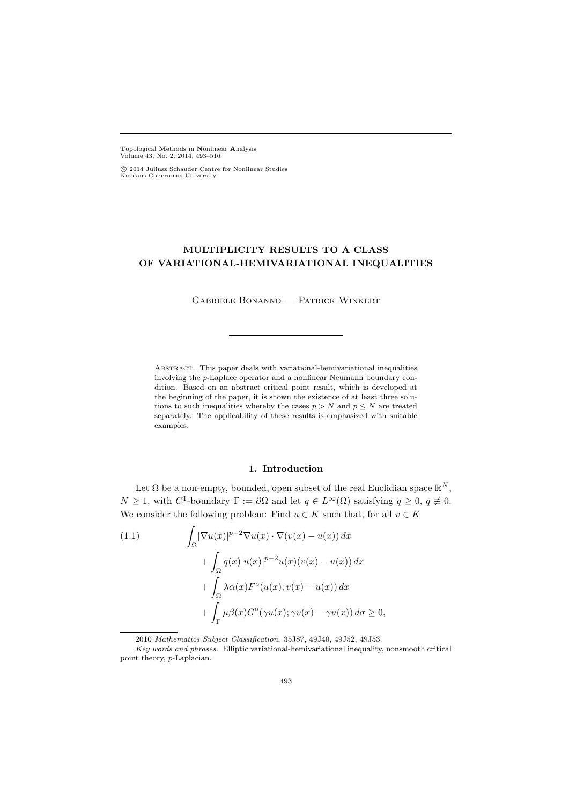Topological Methods in Nonlinear Analysis Volume 43, No. 2, 2014, 493–516

 c 2014 Juliusz Schauder Centre for Nonlinear Studies Nicolaus Copernicus University

# MULTIPLICITY RESULTS TO A CLASS OF VARIATIONAL-HEMIVARIATIONAL INEQUALITIES

Gabriele Bonanno — Patrick Winkert

Abstract. This paper deals with variational-hemivariational inequalities involving the p-Laplace operator and a nonlinear Neumann boundary condition. Based on an abstract critical point result, which is developed at the beginning of the paper, it is shown the existence of at least three solutions to such inequalities whereby the cases  $p > N$  and  $p \leq N$  are treated separately. The applicability of these results is emphasized with suitable examples.

### 1. Introduction

Let  $\Omega$  be a non-empty, bounded, open subset of the real Euclidian space  $\mathbb{R}^N$ ,  $N \geq 1$ , with  $C^1$ -boundary  $\Gamma := \partial \Omega$  and let  $q \in L^{\infty}(\Omega)$  satisfying  $q \geq 0$ ,  $q \neq 0$ . We consider the following problem: Find  $u \in K$  such that, for all  $v \in K$ 

(1.1) 
$$
\int_{\Omega} |\nabla u(x)|^{p-2} \nabla u(x) \cdot \nabla (v(x) - u(x)) dx + \int_{\Omega} q(x) |u(x)|^{p-2} u(x) (v(x) - u(x)) dx + \int_{\Omega} \lambda \alpha(x) F^{\circ}(u(x); v(x) - u(x)) dx + \int_{\Gamma} \mu \beta(x) G^{\circ}(\gamma u(x); \gamma v(x) - \gamma u(x)) d\sigma \ge 0,
$$

<sup>2010</sup> Mathematics Subject Classification. 35J87, 49J40, 49J52, 49J53.

Key words and phrases. Elliptic variational-hemivariational inequality, nonsmooth critical point theory, p-Laplacian.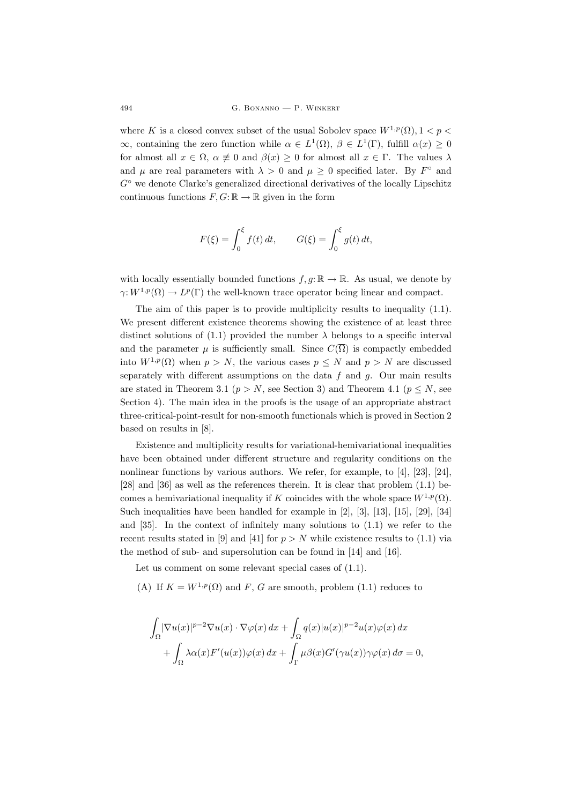where K is a closed convex subset of the usual Sobolev space  $W^{1,p}(\Omega)$ ,  $1 < p <$  $\infty$ , containing the zero function while  $\alpha \in L^1(\Omega)$ ,  $\beta \in L^1(\Gamma)$ , fulfill  $\alpha(x) \geq 0$ for almost all  $x \in \Omega$ ,  $\alpha \neq 0$  and  $\beta(x) \geq 0$  for almost all  $x \in \Gamma$ . The values  $\lambda$ and  $\mu$  are real parameters with  $\lambda > 0$  and  $\mu \geq 0$  specified later. By  $F^{\circ}$  and  $G<sup>°</sup>$  we denote Clarke's generalized directional derivatives of the locally Lipschitz continuous functions  $F, G: \mathbb{R} \to \mathbb{R}$  given in the form

$$
F(\xi) = \int_0^{\xi} f(t) dt, \qquad G(\xi) = \int_0^{\xi} g(t) dt,
$$

with locally essentially bounded functions  $f, g: \mathbb{R} \to \mathbb{R}$ . As usual, we denote by  $\gamma: W^{1,p}(\Omega) \to L^p(\Gamma)$  the well-known trace operator being linear and compact.

The aim of this paper is to provide multiplicity results to inequality (1.1). We present different existence theorems showing the existence of at least three distinct solutions of (1.1) provided the number  $\lambda$  belongs to a specific interval and the parameter  $\mu$  is sufficiently small. Since  $C(\overline{\Omega})$  is compactly embedded into  $W^{1,p}(\Omega)$  when  $p > N$ , the various cases  $p \leq N$  and  $p > N$  are discussed separately with different assumptions on the data  $f$  and  $g$ . Our main results are stated in Theorem 3.1 ( $p > N$ , see Section 3) and Theorem 4.1 ( $p \leq N$ , see Section 4). The main idea in the proofs is the usage of an appropriate abstract three-critical-point-result for non-smooth functionals which is proved in Section 2 based on results in [8].

Existence and multiplicity results for variational-hemivariational inequalities have been obtained under different structure and regularity conditions on the nonlinear functions by various authors. We refer, for example, to [4], [23], [24], [28] and [36] as well as the references therein. It is clear that problem (1.1) becomes a hemivariational inequality if K coincides with the whole space  $W^{1,p}(\Omega)$ . Such inequalities have been handled for example in [2], [3], [13], [15], [29], [34] and [35]. In the context of infinitely many solutions to (1.1) we refer to the recent results stated in [9] and [41] for  $p > N$  while existence results to (1.1) via the method of sub- and supersolution can be found in [14] and [16].

Let us comment on some relevant special cases of  $(1.1)$ .

(A) If  $K = W^{1,p}(\Omega)$  and F, G are smooth, problem (1.1) reduces to

$$
\int_{\Omega} |\nabla u(x)|^{p-2} \nabla u(x) \cdot \nabla \varphi(x) dx + \int_{\Omega} q(x) |u(x)|^{p-2} u(x) \varphi(x) dx \n+ \int_{\Omega} \lambda \alpha(x) F'(u(x)) \varphi(x) dx + \int_{\Gamma} \mu \beta(x) G'(\gamma u(x)) \gamma \varphi(x) d\sigma = 0,
$$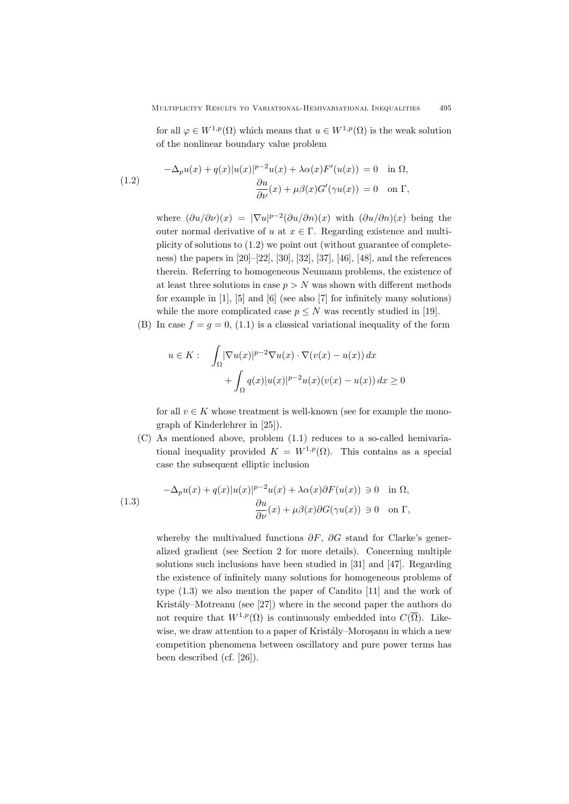for all  $\varphi \in W^{1,p}(\Omega)$  which means that  $u \in W^{1,p}(\Omega)$  is the weak solution of the nonlinear boundary value problem

(1.2) 
$$
-\Delta_p u(x) + q(x)|u(x)|^{p-2}u(x) + \lambda \alpha(x)F'(u(x)) = 0 \text{ in } \Omega,
$$

$$
\frac{\partial u}{\partial \nu}(x) + \mu \beta(x)G'(\gamma u(x)) = 0 \text{ on } \Gamma,
$$

where  $(\partial u/\partial \nu)(x) = |\nabla u|^{p-2} (\partial u/\partial n)(x)$  with  $(\partial u/\partial n)(x)$  being the outer normal derivative of u at  $x \in \Gamma$ . Regarding existence and multiplicity of solutions to (1.2) we point out (without guarantee of completeness) the papers in [20]–[22], [30], [32], [37], [46], [48], and the references therein. Referring to homogeneous Neumann problems, the existence of at least three solutions in case  $p > N$  was shown with different methods for example in [1], [5] and [6] (see also [7] for infinitely many solutions) while the more complicated case  $p \leq N$  was recently studied in [19].

(B) In case  $f = g = 0$ , (1.1) is a classical variational inequality of the form

$$
u \in K: \quad \int_{\Omega} |\nabla u(x)|^{p-2} \nabla u(x) \cdot \nabla (v(x) - u(x)) dx
$$

$$
+ \int_{\Omega} q(x) |u(x)|^{p-2} u(x) (v(x) - u(x)) dx \ge 0
$$

for all  $v \in K$  whose treatment is well-known (see for example the monograph of Kinderlehrer in [25]).

(C) As mentioned above, problem (1.1) reduces to a so-called hemivariational inequality provided  $K = W^{1,p}(\Omega)$ . This contains as a special case the subsequent elliptic inclusion

(1.3) 
$$
-\Delta_p u(x) + q(x)|u(x)|^{p-2}u(x) + \lambda \alpha(x)\partial F(u(x)) \ni 0 \quad \text{in } \Omega,
$$

$$
\frac{\partial u}{\partial \nu}(x) + \mu \beta(x)\partial G(\gamma u(x)) \ni 0 \quad \text{on } \Gamma,
$$

whereby the multivalued functions  $\partial F$ ,  $\partial G$  stand for Clarke's generalized gradient (see Section 2 for more details). Concerning multiple solutions such inclusions have been studied in [31] and [47]. Regarding the existence of infinitely many solutions for homogeneous problems of type (1.3) we also mention the paper of Candito [11] and the work of Kristály–Motreanu (see [27]) where in the second paper the authors do not require that  $W^{1,p}(\Omega)$  is continuously embedded into  $C(\overline{\Omega})$ . Likewise, we draw attention to a paper of Kristály–Moroşanu in which a new competition phenomena between oscillatory and pure power terms has been described (cf. [26]).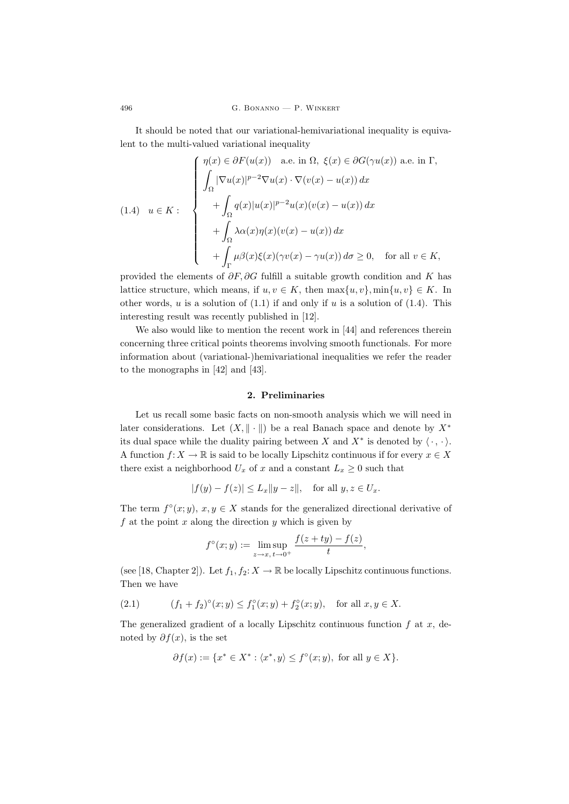It should be noted that our variational-hemivariational inequality is equivalent to the multi-valued variational inequality

$$
(1.4) \quad u \in K: \qquad \begin{cases} \eta(x) \in \partial F(u(x)) \quad \text{a.e. in } \Omega, \ \xi(x) \in \partial G(\gamma u(x)) \text{ a.e. in } \Gamma, \\ \int_{\Omega} |\nabla u(x)|^{p-2} \nabla u(x) \cdot \nabla (v(x) - u(x)) \, dx \\ \qquad + \int_{\Omega} q(x) |u(x)|^{p-2} u(x) (v(x) - u(x)) \, dx \\ \qquad + \int_{\Omega} \lambda \alpha(x) \eta(x) (v(x) - u(x)) \, dx \\ \qquad + \int_{\Gamma} \mu \beta(x) \xi(x) (\gamma v(x) - \gamma u(x)) \, d\sigma \ge 0, \quad \text{for all } v \in K, \end{cases}
$$

provided the elements of  $\partial F$ ,  $\partial G$  fulfill a suitable growth condition and K has lattice structure, which means, if  $u, v \in K$ , then  $\max\{u, v\}$ ,  $\min\{u, v\} \in K$ . In other words, u is a solution of  $(1.1)$  if and only if u is a solution of  $(1.4)$ . This interesting result was recently published in [12].

We also would like to mention the recent work in [44] and references therein concerning three critical points theorems involving smooth functionals. For more information about (variational-)hemivariational inequalities we refer the reader to the monographs in [42] and [43].

## 2. Preliminaries

Let us recall some basic facts on non-smooth analysis which we will need in later considerations. Let  $(X, \|\cdot\|)$  be a real Banach space and denote by  $X^*$ its dual space while the duality pairing between X and  $X^*$  is denoted by  $\langle \cdot, \cdot \rangle$ . A function  $f: X \to \mathbb{R}$  is said to be locally Lipschitz continuous if for every  $x \in X$ there exist a neighborhood  $U_x$  of x and a constant  $L_x \geq 0$  such that

$$
|f(y) - f(z)| \le L_x \|y - z\|, \quad \text{for all } y, z \in U_x.
$$

The term  $f^{\circ}(x; y), x, y \in X$  stands for the generalized directional derivative of f at the point  $x$  along the direction  $y$  which is given by

$$
f^{\circ}(x; y) := \limsup_{z \to x, t \to 0^+} \frac{f(z + ty) - f(z)}{t},
$$

(see [18, Chapter 2]). Let  $f_1, f_2: X \to \mathbb{R}$  be locally Lipschitz continuous functions. Then we have

(2.1) 
$$
(f_1 + f_2)^{\circ}(x; y) \le f_1^{\circ}(x; y) + f_2^{\circ}(x; y), \text{ for all } x, y \in X.
$$

The generalized gradient of a locally Lipschitz continuous function  $f$  at  $x$ , denoted by  $\partial f(x)$ , is the set

$$
\partial f(x) := \{ x^* \in X^* : \langle x^*, y \rangle \le f^{\circ}(x; y), \text{ for all } y \in X \}.
$$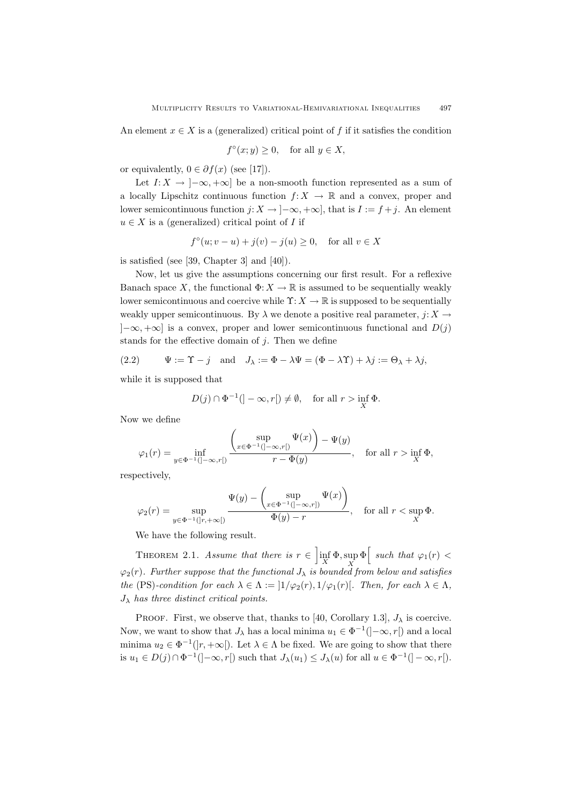An element  $x \in X$  is a (generalized) critical point of f if it satisfies the condition

$$
f^{\circ}(x; y) \ge 0, \quad \text{for all } y \in X,
$$

or equivalently,  $0 \in \partial f(x)$  (see [17]).

Let  $I: X \to [-\infty, +\infty]$  be a non-smooth function represented as a sum of a locally Lipschitz continuous function  $f: X \to \mathbb{R}$  and a convex, proper and lower semicontinuous function  $j: X \to [-\infty, +\infty]$ , that is  $I := f + j$ . An element  $u \in X$  is a (generalized) critical point of I if

$$
f^{\circ}(u; v - u) + j(v) - j(u) \ge 0, \quad \text{for all } v \in X
$$

is satisfied (see [39, Chapter 3] and [40]).

Now, let us give the assumptions concerning our first result. For a reflexive Banach space X, the functional  $\Phi: X \to \mathbb{R}$  is assumed to be sequentially weakly lower semicontinuous and coercive while  $\Upsilon: X \to \mathbb{R}$  is supposed to be sequentially weakly upper semicontinuous. By  $\lambda$  we denote a positive real parameter,  $j: X \to Y$  $]-\infty, +\infty]$  is a convex, proper and lower semicontinuous functional and  $D(j)$ stands for the effective domain of  $j$ . Then we define

(2.2) 
$$
\Psi := \Upsilon - j \quad \text{and} \quad J_{\lambda} := \Phi - \lambda \Psi = (\Phi - \lambda \Upsilon) + \lambda j := \Theta_{\lambda} + \lambda j,
$$

while it is supposed that

$$
D(j) \cap \Phi^{-1}(\mathcal{I} - \infty, r[\mathcal{I} \neq \emptyset, \quad \text{for all } r > \inf_{X} \Phi.
$$

Now we define

$$
\varphi_1(r) = \inf_{y \in \Phi^{-1}(]-\infty, r[)} \frac{\left(\sup_{x \in \Phi^{-1}(]-\infty, r[)} \Psi(x)\right) - \Psi(y)}{r - \Phi(y)}, \quad \text{for all } r > \inf_X \Phi,
$$

respectively,

$$
\varphi_2(r) = \sup_{y \in \Phi^{-1}(|r, +\infty[)} \frac{\Psi(y) - \left(\sup_{x \in \Phi^{-1}(]-\infty, r])} \Psi(x)\right)}{\Phi(y) - r}, \quad \text{for all } r < \sup_X \Phi.
$$

We have the following result.

THEOREM 2.1. Assume that there is  $r \in \left[\inf_{X} \Phi, \sup_{X} \Phi\right]$  such that  $\varphi_1(r) <$  $\varphi_2(r)$ . Further suppose that the functional  $J_\lambda$  is bounded from below and satisfies the (PS)-condition for each  $\lambda \in \Lambda := |1/\varphi_2(r), 1/\varphi_1(r)|$ . Then, for each  $\lambda \in \Lambda$ ,  $J_{\lambda}$  has three distinct critical points.

PROOF. First, we observe that, thanks to [40, Corollary 1.3],  $J_{\lambda}$  is coercive. Now, we want to show that  $J_{\lambda}$  has a local minima  $u_1 \in \Phi^{-1}(-\infty, r[)$  and a local minima  $u_2 \in \Phi^{-1}([r, +\infty])$ . Let  $\lambda \in \Lambda$  be fixed. We are going to show that there is  $u_1 \in D(j) \cap \Phi^{-1}(\{-\infty, r[\})$  such that  $J_\lambda(u_1) \leq J_\lambda(u)$  for all  $u \in \Phi^{-1}(\{-\infty, r[\).$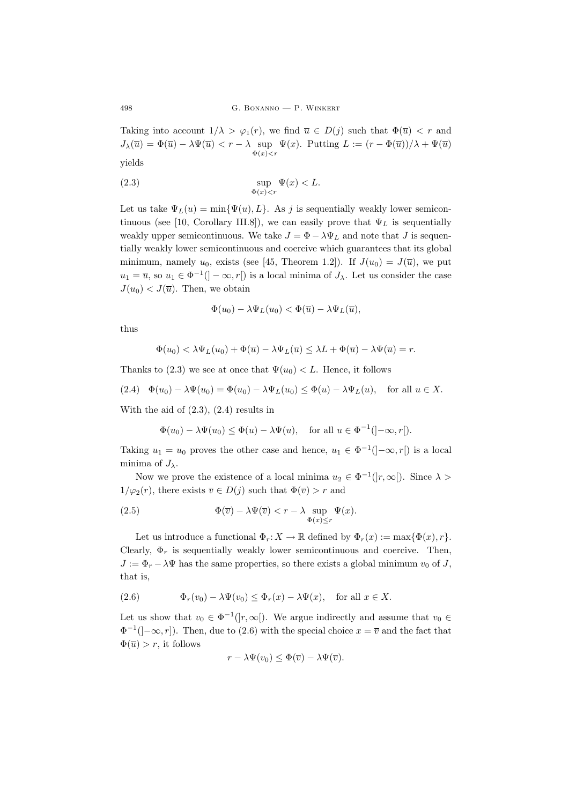Taking into account  $1/\lambda > \varphi_1(r)$ , we find  $\overline{u} \in D(j)$  such that  $\Phi(\overline{u}) < r$  and  $J_{\lambda}(\overline{u}) = \Phi(\overline{u}) - \lambda \Psi(\overline{u}) < r - \lambda$  sup  $\Psi(x)$ . Putting  $L := (r - \Phi(\overline{u}))/\lambda + \Psi(\overline{u})$  $\Phi(x)$  < r yields

(2.3) 
$$
\sup_{\Phi(x) < r} \Psi(x) < L.
$$

Let us take  $\Psi_L(u) = \min{\Psi(u), L}$ . As j is sequentially weakly lower semicontinuous (see [10, Corollary III.8]), we can easily prove that  $\Psi_L$  is sequentially weakly upper semicontinuous. We take  $J = \Phi - \lambda \Psi_L$  and note that J is sequentially weakly lower semicontinuous and coercive which guarantees that its global minimum, namely  $u_0$ , exists (see [45, Theorem 1.2]). If  $J(u_0) = J(\overline{u})$ , we put  $u_1 = \overline{u}$ , so  $u_1 \in \Phi^{-1}([-\infty, r])$  is a local minima of  $J_\lambda$ . Let us consider the case  $J(u_0) < J(\overline{u})$ . Then, we obtain

$$
\Phi(u_0) - \lambda \Psi_L(u_0) < \Phi(\overline{u}) - \lambda \Psi_L(\overline{u}),
$$

thus

$$
\Phi(u_0) < \lambda \Psi_L(u_0) + \Phi(\overline{u}) - \lambda \Psi_L(\overline{u}) \leq \lambda L + \Phi(\overline{u}) - \lambda \Psi(\overline{u}) = r.
$$

Thanks to (2.3) we see at once that  $\Psi(u_0) < L$ . Hence, it follows

$$
(2.4) \quad \Phi(u_0) - \lambda \Psi(u_0) = \Phi(u_0) - \lambda \Psi_L(u_0) \le \Phi(u) - \lambda \Psi_L(u), \quad \text{for all } u \in X.
$$

With the aid of  $(2.3)$ ,  $(2.4)$  results in

$$
\Phi(u_0) - \lambda \Psi(u_0) \le \Phi(u) - \lambda \Psi(u), \quad \text{for all } u \in \Phi^{-1}([-\infty, r[).
$$

Taking  $u_1 = u_0$  proves the other case and hence,  $u_1 \in \Phi^{-1}(-\infty, r[)$  is a local minima of  $J_{\lambda}$ .

Now we prove the existence of a local minima  $u_2 \in \Phi^{-1}(|r,\infty|)$ . Since  $\lambda >$  $1/\varphi_2(r)$ , there exists  $\overline{v} \in D(j)$  such that  $\Phi(\overline{v}) > r$  and

(2.5) 
$$
\Phi(\overline{v}) - \lambda \Psi(\overline{v}) < r - \lambda \sup_{\Phi(x) \le r} \Psi(x).
$$

Let us introduce a functional  $\Phi_r: X \to \mathbb{R}$  defined by  $\Phi_r(x) := \max{\Phi(x), r}$ . Clearly,  $\Phi_r$  is sequentially weakly lower semicontinuous and coercive. Then,  $J := \Phi_r - \lambda \Psi$  has the same properties, so there exists a global minimum  $v_0$  of J, that is,

(2.6) 
$$
\Phi_r(v_0) - \lambda \Psi(v_0) \le \Phi_r(x) - \lambda \Psi(x), \text{ for all } x \in X.
$$

Let us show that  $v_0 \in \Phi^{-1}(|r,\infty|)$ . We argue indirectly and assume that  $v_0 \in$  $\Phi^{-1}$ ( $]-\infty, r$ ). Then, due to (2.6) with the special choice  $x = \overline{v}$  and the fact that  $\Phi(\overline{u}) > r$ , it follows

$$
r - \lambda \Psi(v_0) \leq \Phi(\overline{v}) - \lambda \Psi(\overline{v}).
$$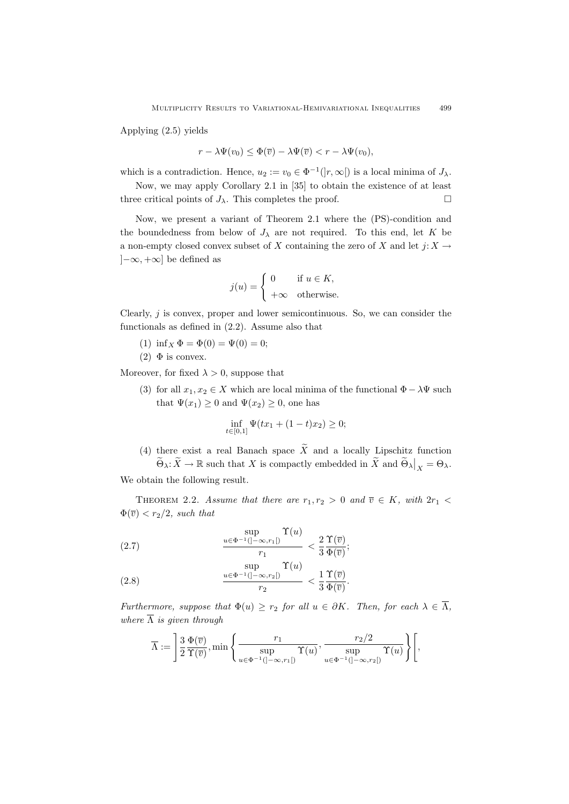Applying (2.5) yields

$$
r - \lambda \Psi(v_0) \le \Phi(\overline{v}) - \lambda \Psi(\overline{v}) < r - \lambda \Psi(v_0),
$$

which is a contradiction. Hence,  $u_2 := v_0 \in \Phi^{-1}(|r,\infty|)$  is a local minima of  $J_\lambda$ .

Now, we may apply Corollary 2.1 in [35] to obtain the existence of at least three critical points of  $J_{\lambda}$ . This completes the proof.

Now, we present a variant of Theorem 2.1 where the (PS)-condition and the boundedness from below of  $J_{\lambda}$  are not required. To this end, let K be a non-empty closed convex subset of X containing the zero of X and let  $j: X \to Y$  $[-\infty, +\infty]$  be defined as

$$
j(u) = \begin{cases} 0 & \text{if } u \in K, \\ +\infty & \text{otherwise.} \end{cases}
$$

Clearly,  $j$  is convex, proper and lower semicontinuous. So, we can consider the functionals as defined in (2.2). Assume also that

- (1) inf<sub>X</sub>  $\Phi = \Phi(0) = \Psi(0) = 0;$
- (2)  $\Phi$  is convex.

Moreover, for fixed  $\lambda > 0$ , suppose that

(3) for all  $x_1, x_2 \in X$  which are local minima of the functional  $\Phi - \lambda \Psi$  such that  $\Psi(x_1) \geq 0$  and  $\Psi(x_2) \geq 0$ , one has

$$
\inf_{t \in [0,1]} \Psi(tx_1 + (1-t)x_2) \ge 0;
$$

(4) there exist a real Banach space  $\widetilde{X}$  and a locally Lipschitz function  $\widetilde{\Theta}_{\lambda} : \widetilde{X} \to \mathbb{R}$  such that X is compactly embedded in  $\widetilde{X}$  and  $\widetilde{\Theta}_{\lambda} \big|_{X} = \Theta_{\lambda}$ .

We obtain the following result.

THEOREM 2.2. Assume that there are  $r_1, r_2 > 0$  and  $\overline{v} \in K$ , with  $2r_1 <$  $\Phi(\overline{v}) < r_2/2$ , such that

(2.7) 
$$
\frac{\sup\limits_{u \in \Phi^{-1}(]-\infty, r_1[)} \Upsilon(u)}{r_1} < \frac{2}{3} \frac{\Upsilon(\overline{v})}{\Phi(\overline{v})};
$$

(2.8) 
$$
\frac{\sup}{u \in \Phi^{-1}(|-\infty, r_2|)} \frac{\Upsilon(u)}{r_2} < \frac{1}{3} \frac{\Upsilon(\overline{v})}{\Phi(\overline{v})}.
$$

Furthermore, suppose that  $\Phi(u) \geq r_2$  for all  $u \in \partial K$ . Then, for each  $\lambda \in \overline{\Lambda}$ , where  $\overline{\Lambda}$  is given through

$$
\overline{\Lambda} := \left[ \frac{3}{2} \frac{\Phi(\overline{v})}{\Upsilon(\overline{v})}, \min \left\{ \frac{r_1}{\sup_{u \in \Phi^{-1}(]-\infty, r_1[)} \Upsilon(u)}, \frac{r_2/2}{\sup_{u \in \Phi^{-1}(]-\infty, r_2[)} \Upsilon(u)} \right\} \right],
$$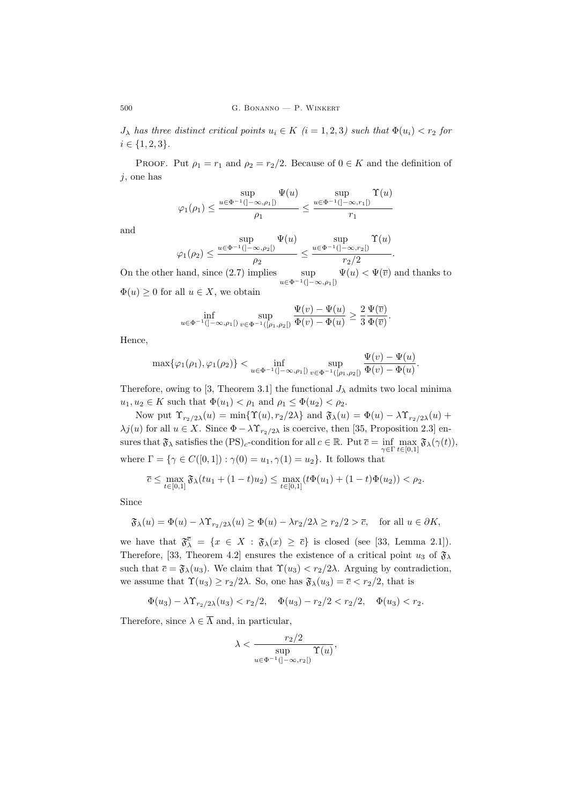$J_{\lambda}$  has three distinct critical points  $u_i \in K$  (i = 1, 2, 3) such that  $\Phi(u_i) < r_2$  for  $i \in \{1, 2, 3\}.$ 

PROOF. Put  $\rho_1 = r_1$  and  $\rho_2 = r_2/2$ . Because of  $0 \in K$  and the definition of j, one has

$$
\varphi_1(\rho_1) \le \frac{\sup}{\rho_1} \frac{\Psi(u)}{\rho_1} \le \frac{\sup}{\rho_1} \frac{\Upsilon(u)}{r_1}
$$

and

$$
\varphi_1(\rho_2) \leq \frac{\displaystyle\sup_{u \in \Phi^{-1}(]-\infty, \rho_2[)}}{\rho_2} \leq \frac{\displaystyle\sup_{u \in \Phi^{-1}(]-\infty, r_2[)}}{r_2/2}.
$$

On the other hand, since  $(2.7)$  implies sup  $u\in\Phi^{-1}([-∞, ρ_1[)$  $\Psi(u) < \Psi(\overline{v})$  and thanks to  $\Phi(u) \geq 0$  for all  $u \in X$ , we obtain

$$
\inf_{u \in \Phi^{-1}(]-\infty,\rho_1[)} \sup_{v \in \Phi^{-1}([\rho_1,\rho_2[)} \frac{\Psi(v) - \Psi(u)}{\Phi(v) - \Phi(u)} \ge \frac{2}{3} \frac{\Psi(\overline{v})}{\Phi(\overline{v})}
$$

.

Hence,

$$
\max\{\varphi_1(\rho_1),\varphi_1(\rho_2)\} < \inf_{u \in \Phi^{-1}(]-\infty,\rho_1[)} \sup_{v \in \Phi^{-1}([ \rho_1,\rho_2[)} \frac{\Psi(v) - \Psi(u)}{\Phi(v) - \Phi(u)}.
$$

Therefore, owing to [3, Theorem 3.1] the functional  $J_{\lambda}$  admits two local minima  $u_1, u_2 \in K$  such that  $\Phi(u_1) < \rho_1$  and  $\rho_1 \leq \Phi(u_2) < \rho_2$ .

Now put  $\Upsilon_{r_2/2\lambda}(u) = \min{\{\Upsilon(u), r_2/2\lambda\}}$  and  $\mathfrak{F}_{\lambda}(u) = \Phi(u) - \lambda \Upsilon_{r_2/2\lambda}(u) +$  $\lambda j(u)$  for all  $u \in X$ . Since  $\Phi - \lambda \Upsilon_{r_2/2\lambda}$  is coercive, then [35, Proposition 2.3] ensures that  $\mathfrak{F}_{\lambda}$  satisfies the  $(PS)_{c}$ -condition for all  $c \in \mathbb{R}$ . Put  $\overline{c} = \inf_{\gamma \in \Gamma} \max_{t \in [0,1]} \mathfrak{F}_{\lambda}(\gamma(t)),$ where  $\Gamma = \{ \gamma \in C([0, 1]) : \gamma(0) = u_1, \gamma(1) = u_2 \}.$  It follows that

$$
\overline{c} \le \max_{t \in [0,1]} \mathfrak{F}_{\lambda}(tu_1 + (1-t)u_2) \le \max_{t \in [0,1]} (t\Phi(u_1) + (1-t)\Phi(u_2)) < \rho_2.
$$

Since

$$
\mathfrak{F}_{\lambda}(u) = \Phi(u) - \lambda \Upsilon_{r_2/2\lambda}(u) \ge \Phi(u) - \lambda r_2/2\lambda \ge r_2/2 > \overline{c}, \quad \text{for all } u \in \partial K,
$$

we have that  $\mathfrak{F}_{\lambda}^{\overline{c}} = \{x \in X : \mathfrak{F}_{\lambda}(x) \geq \overline{c}\}\$ is closed (see [33, Lemma 2.1]). Therefore, [33, Theorem 4.2] ensures the existence of a critical point  $u_3$  of  $\mathfrak{F}_{\lambda}$ such that  $\bar{c} = \mathfrak{F}_{\lambda}(u_3)$ . We claim that  $\Upsilon(u_3) < r_2/2\lambda$ . Arguing by contradiction, we assume that  $\Upsilon(u_3) \ge r_2/2\lambda$ . So, one has  $\mathfrak{F}_{\lambda}(u_3) = \overline{c} \langle r_2/2 \rangle$ , that is

$$
\Phi(u_3) - \lambda \Upsilon_{r_2/2\lambda}(u_3) < r_2/2, \quad \Phi(u_3) - r_2/2 < r_2/2, \quad \Phi(u_3) < r_2.
$$

Therefore, since  $\lambda \in \overline{\Lambda}$  and, in particular,

$$
\lambda < \frac{r_2/2}{\sup_{u \in \Phi^{-1}(]-\infty, r_2[)} \Upsilon(u)},
$$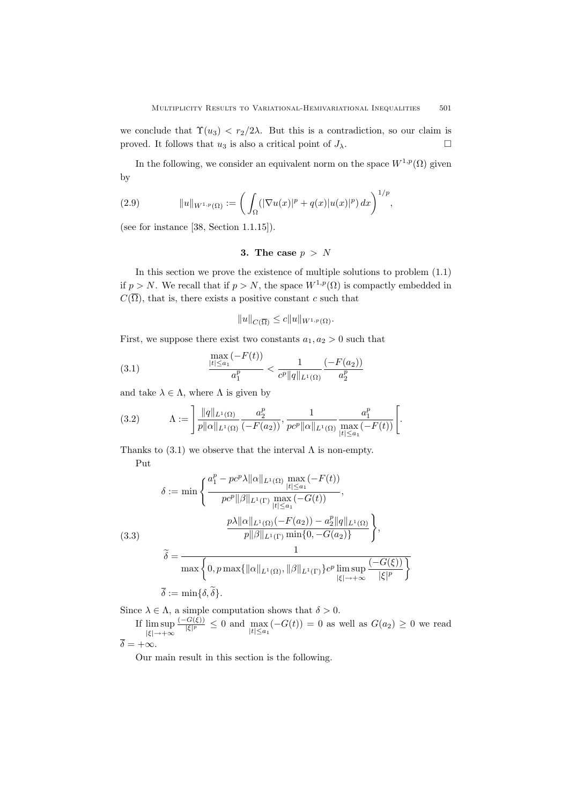we conclude that  $\Upsilon(u_3) < r_2/2\lambda$ . But this is a contradiction, so our claim is proved. It follows that  $u_3$  is also a critical point of  $J_\lambda$ .

In the following, we consider an equivalent norm on the space  $W^{1,p}(\Omega)$  given by

(2.9) 
$$
||u||_{W^{1,p}(\Omega)} := \left(\int_{\Omega} (|\nabla u(x)|^p + q(x)|u(x)|^p) dx\right)^{1/p},
$$

(see for instance [38, Section 1.1.15]).

## 3. The case  $p > N$

In this section we prove the existence of multiple solutions to problem (1.1) if  $p > N$ . We recall that if  $p > N$ , the space  $W^{1,p}(\Omega)$  is compactly embedded in  $C(\overline{\Omega})$ , that is, there exists a positive constant c such that

$$
||u||_{C(\overline{\Omega})} \leq c||u||_{W^{1,p}(\Omega)}.
$$

First, we suppose there exist two constants  $a_1, a_2 > 0$  such that

(3.1) 
$$
\frac{\max\limits_{|t|\leq a_1}(-F(t))}{a_1^p} < \frac{1}{c^p||q||_{L^1(\Omega)}}\frac{(-F(a_2))}{a_2^p}
$$

and take  $\lambda \in \Lambda$ , where  $\Lambda$  is given by

(3.2) 
$$
\Lambda := \left] \frac{\|q\|_{L^1(\Omega)}}{p\|\alpha\|_{L^1(\Omega)}} \frac{a_2^p}{(-F(a_2))}, \frac{1}{pc^p\|\alpha\|_{L^1(\Omega)}} \frac{a_1^p}{\max\limits_{|t| \le a_1} (-F(t))} \right[.
$$

Thanks to  $(3.1)$  we observe that the interval  $\Lambda$  is non-empty. Put

(3.3)  
\n
$$
\delta := \min \left\{ \frac{a_1^p - pc^p \lambda ||\alpha||_{L^1(\Omega)} \max_{|t| \le a_1} (-F(t))}{pc^p ||\beta||_{L^1(\Gamma)} \max_{|t| \le a_1} (-G(t))}, \frac{p\lambda ||\alpha||_{L^1(\Omega)} (-F(a_2)) - a_2^p ||q||_{L^1(\Omega)}}{p ||\beta||_{L^1(\Gamma)} \min\{0, -G(a_2)\}} \right\},\
$$
\n
$$
\widetilde{\delta} = \frac{1}{\max \left\{ 0, p \max\{ ||\alpha||_{L^1(\Omega)}, ||\beta||_{L^1(\Gamma)} \} c^p \limsup_{|\xi| \to +\infty} \frac{(-G(\xi))}{|\xi|^p} \right\}}
$$
\n
$$
\overline{\delta} := \min\{\delta, \widetilde{\delta}\}.
$$

Since  $\lambda \in \Lambda$ , a simple computation shows that  $\delta > 0$ .

If lim sup  $|\xi| \rightarrow +\infty$  $(-G(\xi))$  $\frac{G(S)}{|\xi|^p} \leq 0$  and  $\max_{|t| \leq a_1} (-G(t)) = 0$  as well as  $G(a_2) \geq 0$  we read  $\overline{\delta} = +\infty.$ 

Our main result in this section is the following.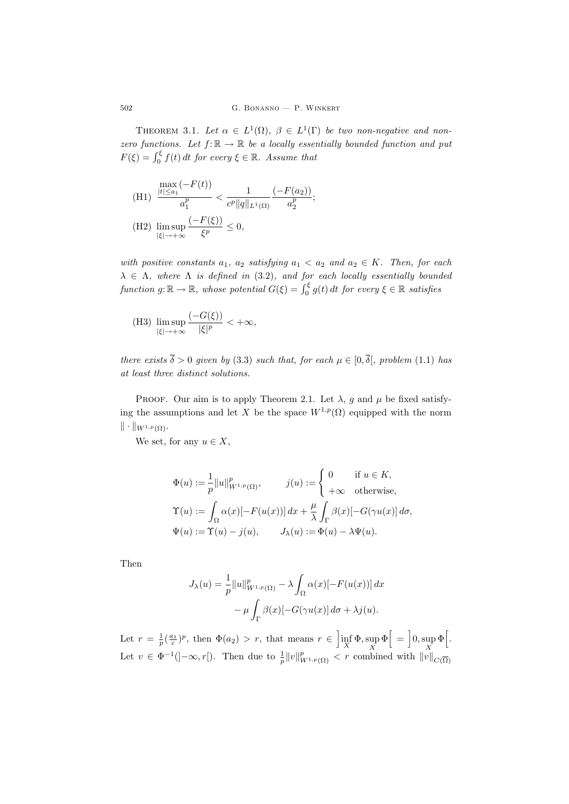THEOREM 3.1. Let  $\alpha \in L^1(\Omega)$ ,  $\beta \in L^1(\Gamma)$  be two non-negative and nonzero functions. Let  $f: \mathbb{R} \to \mathbb{R}$  be a locally essentially bounded function and put  $F(\xi) = \int_0^{\xi} f(t) dt$  for every  $\xi \in \mathbb{R}$ . Assume that

(H1) 
$$
\frac{\max\limits_{|t| \le a_1} (-F(t))}{a_1^p} < \frac{1}{c^p ||q||_{L^1(\Omega)}} \frac{(-F(a_2))}{a_2^p};
$$
  
(H2) 
$$
\limsup_{|\xi| \to +\infty} \frac{(-F(\xi))}{\xi^p} \le 0,
$$

with positive constants  $a_1$ ,  $a_2$  satisfying  $a_1 < a_2$  and  $a_2 \in K$ . Then, for each  $\lambda \in \Lambda$ , where  $\Lambda$  is defined in (3.2), and for each locally essentially bounded function  $g: \mathbb{R} \to \mathbb{R}$ , whose potential  $G(\xi) = \int_0^{\xi} g(t) dt$  for every  $\xi \in \mathbb{R}$  satisfies

(H3) 
$$
\limsup_{|\xi| \to +\infty} \frac{(-G(\xi))}{|\xi|^p} < +\infty,
$$

there exists  $\overline{\delta} > 0$  given by (3.3) such that, for each  $\mu \in [0, \overline{\delta}]$ , problem (1.1) has at least three distinct solutions.

PROOF. Our aim is to apply Theorem 2.1. Let  $\lambda$ , g and  $\mu$  be fixed satisfying the assumptions and let X be the space  $W^{1,p}(\Omega)$  equipped with the norm  $\|\cdot\|_{W^{1,p}(\Omega)}.$ 

We set, for any  $u \in X$ ,

$$
\Phi(u) := \frac{1}{p} ||u||_{W^{1,p}(\Omega)}^p, \qquad j(u) := \begin{cases} 0 & \text{if } u \in K, \\ +\infty & \text{otherwise,} \end{cases}
$$

$$
\Upsilon(u) := \int_{\Omega} \alpha(x) [-F(u(x))] \, dx + \frac{\mu}{\lambda} \int_{\Gamma} \beta(x) [-G(\gamma u(x)] \, d\sigma,
$$

$$
\Psi(u) := \Upsilon(u) - j(u), \qquad J_{\lambda}(u) := \Phi(u) - \lambda \Psi(u).
$$

Then

$$
J_{\lambda}(u) = \frac{1}{p} ||u||_{W^{1,p}(\Omega)}^p - \lambda \int_{\Omega} \alpha(x) [-F(u(x))] dx
$$

$$
- \mu \int_{\Gamma} \beta(x) [-G(\gamma u(x)] d\sigma + \lambda j(u).
$$

Let  $r = \frac{1}{p} \left( \frac{a_1}{c} \right)^p$ , then  $\Phi(a_2) > r$ , that means  $r \in \left] \inf_X \Phi$ , sup  $\Phi \right[ = \left] 0$ , sup  $\Phi \right[$ . Let  $v \in \Phi^{-1}(-\infty, r[)$ . Then due to  $\frac{1}{p} ||v||^p_{W^{1,p}(\Omega)} < r$  combined with  $||v||_{C(\overline{\Omega})}$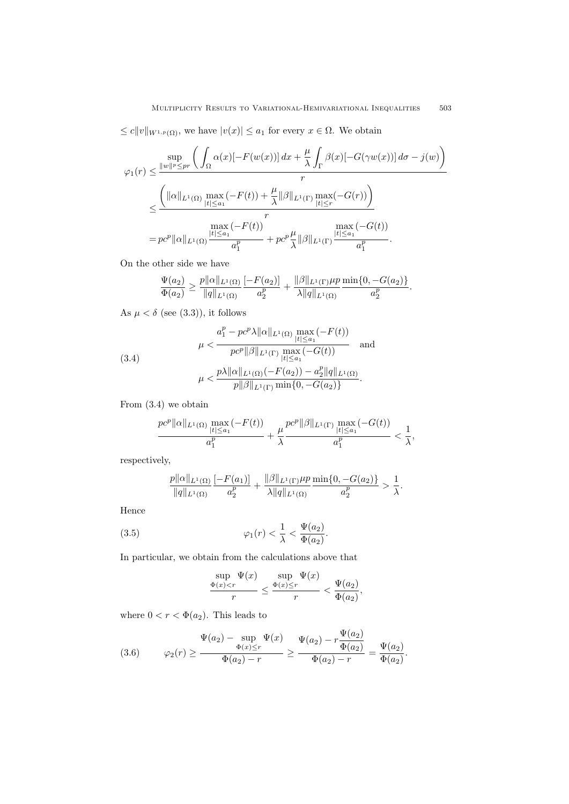$\leq c||v||_{W^{1,p}(\Omega)}$ , we have  $|v(x)| \leq a_1$  for every  $x \in \Omega$ . We obtain

$$
\varphi_1(r) \leq \frac{\sup}{\|w\|^p \leq pr} \left( \int_{\Omega} \alpha(x) [-F(w(x))] \, dx + \frac{\mu}{\lambda} \int_{\Gamma} \beta(x) [-G(\gamma w(x))] \, d\sigma - j(w) \right) \cdot r
$$
\n
$$
\leq \frac{\left( \|\alpha\|_{L^1(\Omega)} \max_{|t| \leq a_1} (-F(t)) + \frac{\mu}{\lambda} \|\beta\|_{L^1(\Gamma)} \max_{|t| \leq r} (-G(r)) \right)}{r}
$$
\n
$$
= pc^p \|\alpha\|_{L^1(\Omega)} \frac{\max_{|t| \leq a_1} (-F(t))}{a_1^p} + pc^p \frac{\mu}{\lambda} \|\beta\|_{L^1(\Gamma)} \frac{\max_{|t| \leq a_1} (-G(t))}{a_1^p}.
$$

On the other side we have

$$
\frac{\Psi(a_2)}{\Phi(a_2)} \ge \frac{p||\alpha||_{L^1(\Omega)}}{||q||_{L^1(\Omega)}} \frac{[-F(a_2)]}{a_2^p} + \frac{||\beta||_{L^1(\Gamma)}\mu p}{\lambda ||q||_{L^1(\Omega)}} \frac{\min\{0, -G(a_2)\}}{a_2^p}.
$$

As  $\mu < \delta$  (see (3.3)), it follows

(3.4)  

$$
\mu < \frac{a_1^p - pc^p \lambda ||\alpha||_{L^1(\Omega)} \max_{|t| \le a_1} (-F(t))}{pc^p ||\beta||_{L^1(\Gamma)} \max_{|t| \le a_1} (-G(t))} \text{ and}
$$

$$
\mu < \frac{p\lambda ||\alpha||_{L^1(\Omega)} (-F(a_2)) - a_2^p ||q||_{L^1(\Omega)}}{p ||\beta||_{L^1(\Gamma)} \min\{0, -G(a_2)\}}.
$$

From (3.4) we obtain

$$
\frac{\textstyle \max\limits_{t\in C} \| \alpha\|_{L^1(\Omega)}\max\limits_{|t|\leq a_1} (-F(t))}{a_1^p}+\frac{\mu}{\lambda}\frac{\textstyle \max\limits_{t\in C} \| \beta\|_{L^1(\Gamma)}\max\limits_{|t|\leq a_1} (-G(t))}{a_1^p}<\frac{1}{\lambda},
$$

respectively,

$$
\frac{p||\alpha||_{L^1(\Omega)}}{||q||_{L^1(\Omega)}} \frac{[-F(a_1)]}{a_2^p} + \frac{||\beta||_{L^1(\Gamma)}\mu p \min\{0, -G(a_2)\}}{|\lambda||q||_{L^1(\Omega)}} \frac{1}{a_2^p} > \frac{1}{\lambda}.
$$

Hence

(3.5) 
$$
\varphi_1(r) < \frac{1}{\lambda} < \frac{\Psi(a_2)}{\Phi(a_2)}.
$$

In particular, we obtain from the calculations above that

$$
\frac{\sup\limits_{\Phi(x)
$$

where  $0 < r < \Phi(a_2)$ . This leads to

(3.6) 
$$
\Psi(a_2) - \sup_{\Phi(x) \le r} \Psi(x) \Psi(a_2) - r \frac{\Psi(a_2)}{\Phi(a_2) - r} = \frac{\Psi(a_2)}{\Phi(a_2) - r} = \frac{\Psi(a_2)}{\Phi(a_2)}.
$$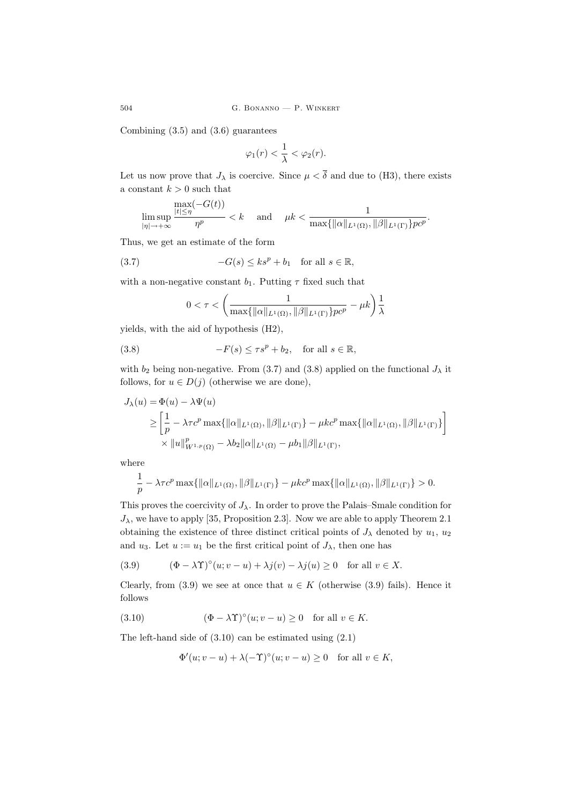504 G. Bonanno — P. Winkert

Combining (3.5) and (3.6) guarantees

$$
\varphi_1(r) < \frac{1}{\lambda} < \varphi_2(r).
$$

Let us now prove that  $J_{\lambda}$  is coercive. Since  $\mu < \overline{\delta}$  and due to (H3), there exists a constant  $k > 0$  such that

$$
\limsup_{|\eta| \to +\infty} \frac{\max(-G(t))}{\eta^p} < k \quad \text{ and } \quad \mu k < \frac{1}{\max\{\|\alpha\|_{L^1(\Omega)}, \|\beta\|_{L^1(\Gamma)}\} p c^p}.
$$

Thus, we get an estimate of the form

(3.7) 
$$
-G(s) \le ks^p + b_1 \quad \text{for all } s \in \mathbb{R},
$$

with a non-negative constant  $b_1$ . Putting  $\tau$  fixed such that

$$
0 < \tau < \left(\frac{1}{\max\{\|\alpha\|_{L^1(\Omega)}, \|\beta\|_{L^1(\Gamma)}\} p c^p} - \mu k\right) \frac{1}{\lambda}
$$

yields, with the aid of hypothesis (H2),

(3.8) 
$$
-F(s) \le \tau s^p + b_2, \text{ for all } s \in \mathbb{R},
$$

with  $b_2$  being non-negative. From (3.7) and (3.8) applied on the functional  $J_\lambda$  it follows, for  $u \in D(j)$  (otherwise we are done),

$$
J_{\lambda}(u) = \Phi(u) - \lambda \Psi(u)
$$
  
\n
$$
\geq \left[\frac{1}{p} - \lambda \tau c^{p} \max\{\|\alpha\|_{L^{1}(\Omega)}, \|\beta\|_{L^{1}(\Gamma)}\} - \mu k c^{p} \max\{\|\alpha\|_{L^{1}(\Omega)}, \|\beta\|_{L^{1}(\Gamma)}\}\right]
$$
  
\n
$$
\times \|u\|_{W^{1,p}(\Omega)}^{p} - \lambda b_{2} \|\alpha\|_{L^{1}(\Omega)} - \mu b_{1} \|\beta\|_{L^{1}(\Gamma)},
$$

where

$$
\frac{1}{p}-\lambda\tau c^p\max\{\|\alpha\|_{L^1(\Omega)},\|\beta\|_{L^1(\Gamma)}\}-\mu kc^p\max\{\|\alpha\|_{L^1(\Omega)},\|\beta\|_{L^1(\Gamma)}\}>0.
$$

This proves the coercivity of  $J_{\lambda}$ . In order to prove the Palais–Smale condition for  $J_{\lambda}$ , we have to apply [35, Proposition 2.3]. Now we are able to apply Theorem 2.1 obtaining the existence of three distinct critical points of  $J_{\lambda}$  denoted by  $u_1, u_2$ and  $u_3$ . Let  $u := u_1$  be the first critical point of  $J_{\lambda}$ , then one has

(3.9) 
$$
(\Phi - \lambda \Upsilon)^{\circ}(u; v - u) + \lambda j(v) - \lambda j(u) \ge 0 \text{ for all } v \in X.
$$

Clearly, from (3.9) we see at once that  $u \in K$  (otherwise (3.9) fails). Hence it follows

(3.10) 
$$
(\Phi - \lambda \Upsilon)^{\circ}(u; v - u) \ge 0 \text{ for all } v \in K.
$$

The left-hand side of (3.10) can be estimated using (2.1)

$$
\Phi'(u; v - u) + \lambda(-\Upsilon)^{\circ}(u; v - u) \ge 0 \quad \text{for all } v \in K,
$$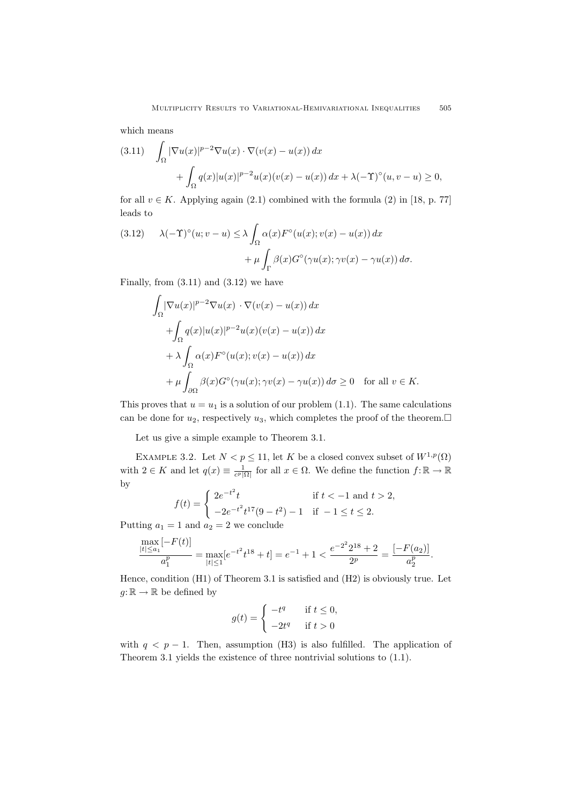which means

$$
(3.11) \quad \int_{\Omega} |\nabla u(x)|^{p-2} \nabla u(x) \cdot \nabla (v(x) - u(x)) dx
$$

$$
+ \int_{\Omega} q(x) |u(x)|^{p-2} u(x) (v(x) - u(x)) dx + \lambda (-\Upsilon)^{\circ} (u, v - u) \ge 0,
$$

for all  $v \in K$ . Applying again (2.1) combined with the formula (2) in [18, p. 77] leads to

(3.12) 
$$
\lambda(-\Upsilon)^{\circ}(u;v-u) \leq \lambda \int_{\Omega} \alpha(x) F^{\circ}(u(x);v(x)-u(x)) dx + \mu \int_{\Gamma} \beta(x) G^{\circ}(\gamma u(x); \gamma v(x)-\gamma u(x)) d\sigma.
$$

Finally, from  $(3.11)$  and  $(3.12)$  we have

$$
\int_{\Omega} |\nabla u(x)|^{p-2} \nabla u(x) \cdot \nabla (v(x) - u(x)) dx
$$
  
+ 
$$
\int_{\Omega} q(x)|u(x)|^{p-2}u(x)(v(x) - u(x)) dx
$$
  
+ 
$$
\lambda \int_{\Omega} \alpha(x) F^{\circ}(u(x); v(x) - u(x)) dx
$$
  
+ 
$$
\mu \int_{\partial \Omega} \beta(x) G^{\circ}(\gamma u(x); \gamma v(x) - \gamma u(x)) d\sigma \ge 0 \text{ for all } v \in K.
$$

This proves that  $u = u_1$  is a solution of our problem (1.1). The same calculations can be done for  $u_2$ , respectively  $u_3$ , which completes the proof of the theorem.

Let us give a simple example to Theorem 3.1.

EXAMPLE 3.2. Let  $N < p \le 11$ , let K be a closed convex subset of  $W^{1,p}(\Omega)$ with  $2 \in K$  and let  $q(x) \equiv \frac{1}{c^p |\Omega|}$  for all  $x \in \Omega$ . We define the function  $f: \mathbb{R} \to \mathbb{R}$ by

$$
f(t) = \begin{cases} 2e^{-t^2}t & \text{if } t < -1 \text{ and } t > 2, \\ -2e^{-t^2}t^{17}(9-t^2) - 1 & \text{if } -1 \le t \le 2. \end{cases}
$$

Putting  $a_1 = 1$  and  $a_2 = 2$  we conclude

$$
\frac{\max\limits_{|t|\leq a_1}[-F(t)]}{a_1^p} = \max\limits_{|t|\leq 1}[e^{-t^2}t^{18} + t] = e^{-1} + 1 < \frac{e^{-2^2}2^{18} + 2}{2^p} = \frac{[-F(a_2)]}{a_2^p}.
$$

Hence, condition (H1) of Theorem 3.1 is satisfied and (H2) is obviously true. Let  $g: \mathbb{R} \to \mathbb{R}$  be defined by

$$
g(t) = \begin{cases} -t^q & \text{if } t \le 0, \\ -2t^q & \text{if } t > 0 \end{cases}
$$

with  $q < p - 1$ . Then, assumption (H3) is also fulfilled. The application of Theorem 3.1 yields the existence of three nontrivial solutions to (1.1).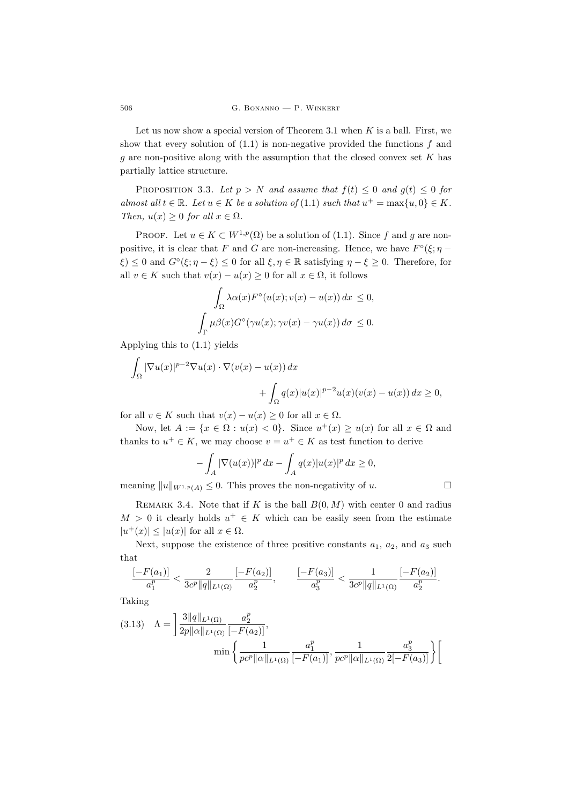Let us now show a special version of Theorem 3.1 when  $K$  is a ball. First, we show that every solution of  $(1.1)$  is non-negative provided the functions f and g are non-positive along with the assumption that the closed convex set  $K$  has partially lattice structure.

PROPOSITION 3.3. Let  $p > N$  and assume that  $f(t) \leq 0$  and  $g(t) \leq 0$  for almost all  $t \in \mathbb{R}$ . Let  $u \in K$  be a solution of (1.1) such that  $u^+ = \max\{u, 0\} \in K$ . Then,  $u(x) \geq 0$  for all  $x \in \Omega$ .

PROOF. Let  $u \in K \subset W^{1,p}(\Omega)$  be a solution of (1.1). Since f and g are nonpositive, it is clear that F and G are non-increasing. Hence, we have  $F^{\circ}(\xi; \eta \xi \leq 0$  and  $G^{\circ}(\xi; \eta - \xi) \leq 0$  for all  $\xi, \eta \in \mathbb{R}$  satisfying  $\eta - \xi \geq 0$ . Therefore, for all  $v \in K$  such that  $v(x) - u(x) \geq 0$  for all  $x \in \Omega$ , it follows

$$
\int_{\Omega} \lambda \alpha(x) F^{\circ}(u(x); v(x) - u(x)) dx \le 0,
$$
  

$$
\int_{\Gamma} \mu \beta(x) G^{\circ}(\gamma u(x); \gamma v(x) - \gamma u(x)) d\sigma \le 0.
$$

Applying this to (1.1) yields

$$
\int_{\Omega} |\nabla u(x)|^{p-2} \nabla u(x) \cdot \nabla (v(x) - u(x)) dx
$$
  
+ 
$$
\int_{\Omega} q(x) |u(x)|^{p-2} u(x) (v(x) - u(x)) dx \ge 0,
$$

for all  $v \in K$  such that  $v(x) - u(x) \geq 0$  for all  $x \in \Omega$ .

Now, let  $A := \{x \in \Omega : u(x) < 0\}$ . Since  $u^+(x) \ge u(x)$  for all  $x \in \Omega$  and thanks to  $u^+ \in K$ , we may choose  $v = u^+ \in K$  as test function to derive

$$
-\int_A |\nabla(u(x))|^p dx - \int_A q(x)|u(x)|^p dx \ge 0,
$$

meaning  $||u||_{W^{1,p}(A)} \leq 0$ . This proves the non-negativity of u.

$$
\sqcup
$$

REMARK 3.4. Note that if K is the ball  $B(0, M)$  with center 0 and radius  $M > 0$  it clearly holds  $u^+ \in K$  which can be easily seen from the estimate  $|u^+(x)| \leq |u(x)|$  for all  $x \in \Omega$ .

Next, suppose the existence of three positive constants  $a_1, a_2,$  and  $a_3$  such that

$$
\frac{[-F(a_1)]}{a_1^p} < \frac{2}{3c^p\|q\|_{L^1(\Omega)}}\frac{[-F(a_2)]}{a_2^p}, \qquad \frac{[-F(a_3)]}{a_3^p} < \frac{1}{3c^p\|q\|_{L^1(\Omega)}}\frac{[-F(a_2)]}{a_2^p}.
$$

Taking

$$
(3.13) \quad \Lambda = \left] \frac{3||q||_{L^{1}(\Omega)}}{2p||\alpha||_{L^{1}(\Omega)}} \frac{a_{2}^{p}}{[-F(a_{2})]},
$$

$$
\min \left\{ \frac{1}{pc^{p}||\alpha||_{L^{1}(\Omega)}} \frac{a_{1}^{p}}{[-F(a_{1})]}, \frac{1}{pc^{p}||\alpha||_{L^{1}(\Omega)}} \frac{a_{3}^{p}}{2[-F(a_{3})]} \right\} \right[
$$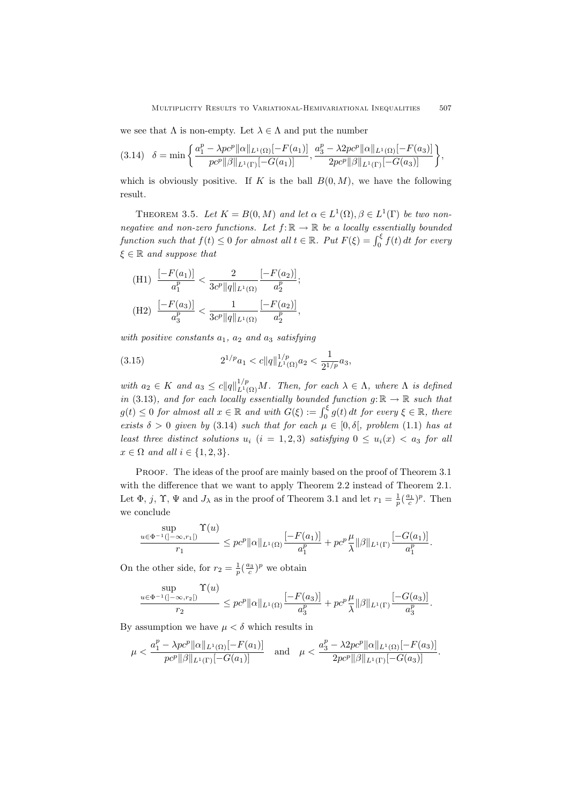we see that  $\Lambda$  is non-empty. Let  $\lambda \in \Lambda$  and put the number

$$
(3.14) \quad \delta = \min\left\{ \frac{a_1^p - \lambda pc^p ||\alpha||_{L^1(\Omega)} [-F(a_1)]}{pc^p ||\beta||_{L^1(\Gamma)} [-G(a_1)]}, \frac{a_3^p - \lambda 2pc^p ||\alpha||_{L^1(\Omega)} [-F(a_3)]}{2pc^p ||\beta||_{L^1(\Gamma)} [-G(a_3)]} \right\},\,
$$

which is obviously positive. If K is the ball  $B(0, M)$ , we have the following result.

THEOREM 3.5. Let  $K = B(0, M)$  and let  $\alpha \in L^1(\Omega), \beta \in L^1(\Gamma)$  be two nonnegative and non-zero functions. Let  $f: \mathbb{R} \to \mathbb{R}$  be a locally essentially bounded function such that  $f(t) \leq 0$  for almost all  $t \in \mathbb{R}$ . Put  $F(\xi) = \int_0^{\xi} f(t) dt$  for every  $\xi \in \mathbb{R}$  and suppose that

(H1) 
$$
\frac{[-F(a_1)]}{a_1^p} < \frac{2}{3c^p ||q||_{L^1(\Omega)}} \frac{[-F(a_2)]}{a_2^p};
$$
  
(H2) 
$$
\frac{[-F(a_3)]}{a_3^p} < \frac{1}{3c^p ||q||_{L^1(\Omega)}} \frac{[-F(a_2)]}{a_2^p},
$$

with positive constants  $a_1$ ,  $a_2$  and  $a_3$  satisfying

(3.15) 
$$
2^{1/p}a_1 < c \|q\|_{L^1(\Omega)}^{1/p}a_2 < \frac{1}{2^{1/p}}a_3,
$$

with  $a_2 \in K$  and  $a_3 \leq c ||q||_{L^1(\Omega)}^{1/p} M$ . Then, for each  $\lambda \in \Lambda$ , where  $\Lambda$  is defined in (3.13), and for each locally essentially bounded function  $g: \mathbb{R} \to \mathbb{R}$  such that  $g(t) \leq 0$  for almost all  $x \in \mathbb{R}$  and with  $G(\xi) := \int_0^{\xi} g(t) dt$  for every  $\xi \in \mathbb{R}$ , there exists  $\delta > 0$  given by (3.14) such that for each  $\mu \in [0, \delta],$  problem (1.1) has at least three distinct solutions  $u_i$  (i = 1, 2, 3) satisfying  $0 \le u_i(x) < a_3$  for all  $x \in \Omega$  and all  $i \in \{1, 2, 3\}.$ 

PROOF. The ideas of the proof are mainly based on the proof of Theorem 3.1 with the difference that we want to apply Theorem 2.2 instead of Theorem 2.1. Let  $\Phi$ , j,  $\Upsilon$ ,  $\Psi$  and  $J_{\lambda}$  as in the proof of Theorem 3.1 and let  $r_1 = \frac{1}{p}(\frac{a_1}{c})^p$ . Then we conclude

$$
\frac{\sup}{r_1} \le p e^{-1} (|-\infty, r_1|) \le p e^p ||\alpha||_{L^1(\Omega)} \frac{[-F(a_1)]}{a_1^p} + p e^p \frac{\mu}{\lambda} ||\beta||_{L^1(\Gamma)} \frac{[-G(a_1)]}{a_1^p}.
$$

On the other side, for  $r_2 = \frac{1}{p} (\frac{a_3}{c})^p$  we obtain

$$
\frac{\sup}{r_2} \le pc^p \|\alpha\|_{L^1(\Omega)} \frac{\Gamma(u)}{r_2} \le pc^p \|\alpha\|_{L^1(\Omega)} \frac{[-F(a_3)]}{a_3^p} + pc^p \frac{\mu}{\lambda} \|\beta\|_{L^1(\Gamma)} \frac{[-G(a_3)]}{a_3^p}.
$$

By assumption we have  $\mu < \delta$  which results in

$$
\mu < \frac{a_1^p - \lambda pc^p ||\alpha||_{L^1(\Omega)} [-F(a_1)]}{pc^p ||\beta||_{L^1(\Gamma)} [-G(a_1)]} \quad \text{and} \quad \mu < \frac{a_3^p - \lambda 2pc^p ||\alpha||_{L^1(\Omega)} [-F(a_3)]}{2pc^p ||\beta||_{L^1(\Gamma)} [-G(a_3)]}.
$$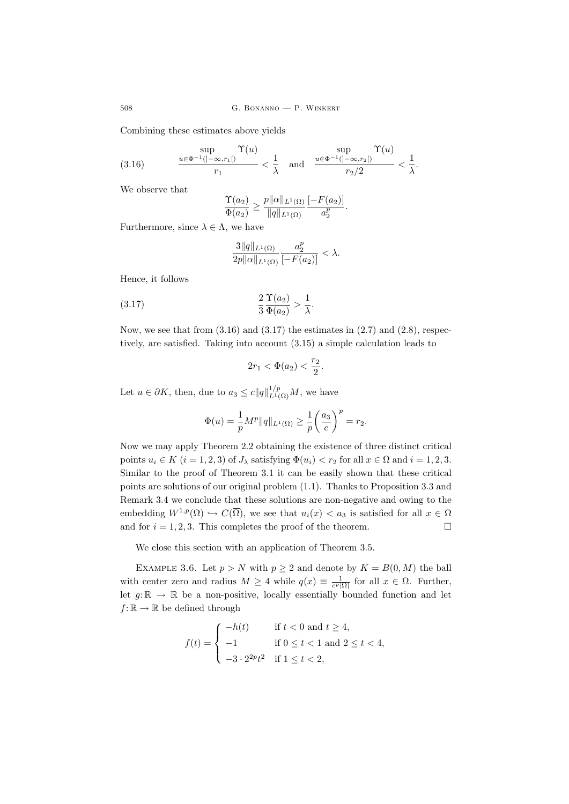508 G. Bonanno — P. Winkert

Combining these estimates above yields

(3.16) 
$$
\frac{\sup}{r_1} \frac{\Upsilon(u)}{r_1} < \frac{1}{\lambda} \quad \text{and} \quad \frac{\sup}{r_2/2} \frac{\Upsilon(u)}{r_2/2} < \frac{1}{\lambda}.
$$

We observe that

$$
\frac{\Upsilon(a_2)}{\Phi(a_2)} \ge \frac{p||\alpha||_{L^1(\Omega)}}{||q||_{L^1(\Omega)}} \frac{[-F(a_2)]}{a_2^p}.
$$

Furthermore, since  $\lambda \in \Lambda$ , we have

$$
\frac{3\|q\|_{L^1(\Omega)}}{2p\|\alpha\|_{L^1(\Omega)}}\frac{a_2^p}{[-F(a_2)]}<\lambda.
$$

Hence, it follows

$$
\frac{2}{3} \frac{\Upsilon(a_2)}{\Phi(a_2)} > \frac{1}{\lambda}.
$$

Now, we see that from  $(3.16)$  and  $(3.17)$  the estimates in  $(2.7)$  and  $(2.8)$ , respectively, are satisfied. Taking into account (3.15) a simple calculation leads to

$$
2r_1 < \Phi(a_2) < \frac{r_2}{2}.
$$

Let  $u \in \partial K$ , then, due to  $a_3 \leq c ||q||_{L^1(\Omega)}^{1/p} M$ , we have

$$
\Phi(u) = \frac{1}{p} M^p ||q||_{L^1(\Omega)} \ge \frac{1}{p} \left(\frac{a_3}{c}\right)^p = r_2.
$$

Now we may apply Theorem 2.2 obtaining the existence of three distinct critical points  $u_i \in K$   $(i = 1, 2, 3)$  of  $J_\lambda$  satisfying  $\Phi(u_i) < r_2$  for all  $x \in \Omega$  and  $i = 1, 2, 3$ . Similar to the proof of Theorem 3.1 it can be easily shown that these critical points are solutions of our original problem (1.1). Thanks to Proposition 3.3 and Remark 3.4 we conclude that these solutions are non-negative and owing to the embedding  $W^{1,p}(\Omega) \hookrightarrow C(\overline{\Omega})$ , we see that  $u_i(x) < a_3$  is satisfied for all  $x \in \Omega$ and for  $i = 1, 2, 3$ . This completes the proof of the theorem.

We close this section with an application of Theorem 3.5.

EXAMPLE 3.6. Let  $p > N$  with  $p \ge 2$  and denote by  $K = B(0, M)$  the ball with center zero and radius  $M \geq 4$  while  $q(x) \equiv \frac{1}{c^p |\Omega|}$  for all  $x \in \Omega$ . Further, let  $g: \mathbb{R} \to \mathbb{R}$  be a non-positive, locally essentially bounded function and let  $f: \mathbb{R} \to \mathbb{R}$  be defined through

$$
f(t) = \begin{cases} -h(t) & \text{if } t < 0 \text{ and } t \ge 4, \\ -1 & \text{if } 0 \le t < 1 \text{ and } 2 \le t < 4, \\ -3 \cdot 2^{2p} t^2 & \text{if } 1 \le t < 2, \end{cases}
$$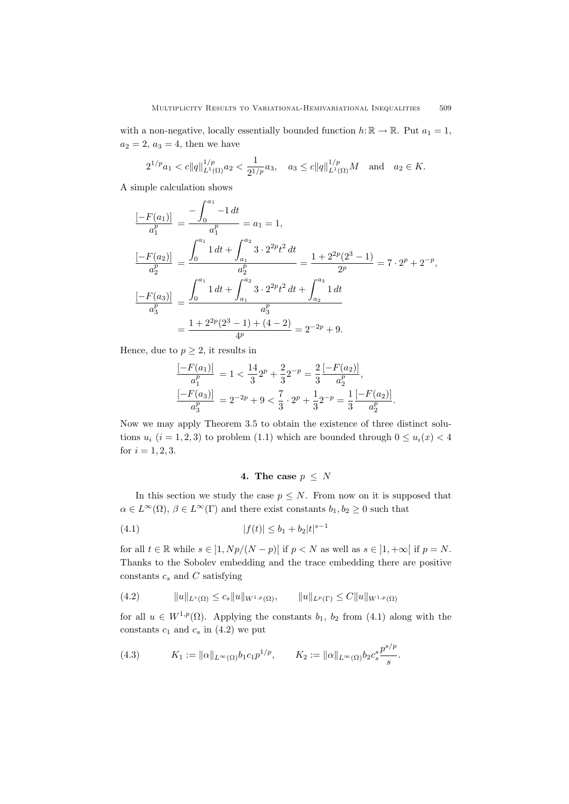with a non-negative, locally essentially bounded function  $h: \mathbb{R} \to \mathbb{R}$ . Put  $a_1 = 1$ ,  $a_2 = 2, a_3 = 4$ , then we have

$$
2^{1/p}a_1 < c||q||_{L^1(\Omega)}^{1/p}a_2 < \frac{1}{2^{1/p}}a_3, \quad a_3 \le c||q||_{L^1(\Omega)}^{1/p}M \quad \text{and} \quad a_2 \in K.
$$

A simple calculation shows

$$
\frac{[-F(a_1)]}{a_1^p} = \frac{-\int_0^{a_1} -1 dt}{a_1^p} = a_1 = 1,
$$
\n
$$
\frac{[-F(a_2)]}{a_2^p} = \frac{\int_0^{a_1} 1 dt + \int_{a_1}^{a_2} 3 \cdot 2^{2p} t^2 dt}{a_2^p} = \frac{1 + 2^{2p} (2^3 - 1)}{2^p} = 7 \cdot 2^p + 2^{-p},
$$
\n
$$
\frac{[-F(a_3)]}{a_3^p} = \frac{\int_0^{a_1} 1 dt + \int_{a_1}^{a_2} 3 \cdot 2^{2p} t^2 dt + \int_{a_2}^{a_3} 1 dt}{a_3^p}
$$
\n
$$
= \frac{1 + 2^{2p} (2^3 - 1) + (4 - 2)}{4^p} = 2^{-2p} + 9.
$$

Hence, due to  $p \geq 2$ , it results in

$$
\frac{[-F(a_1)]}{a_1^p} = 1 < \frac{14}{3} 2^p + \frac{2}{3} 2^{-p} = \frac{2}{3} \frac{[-F(a_2)]}{a_2^p},
$$
\n
$$
\frac{[-F(a_3)]}{a_3^p} = 2^{-2p} + 9 < \frac{7}{3} \cdot 2^p + \frac{1}{3} 2^{-p} = \frac{1}{3} \frac{[-F(a_2)]}{a_2^p}.
$$

Now we may apply Theorem 3.5 to obtain the existence of three distinct solutions  $u_i$  ( $i = 1, 2, 3$ ) to problem (1.1) which are bounded through  $0 \le u_i(x) < 4$ for  $i = 1, 2, 3$ .

## 4. The case  $p \leq N$

In this section we study the case  $p \leq N$ . From now on it is supposed that  $\alpha \in L^{\infty}(\Omega)$ ,  $\beta \in L^{\infty}(\Gamma)$  and there exist constants  $b_1, b_2 \geq 0$  such that

(4.1) 
$$
|f(t)| \le b_1 + b_2|t|^{s-1}
$$

for all  $t \in \mathbb{R}$  while  $s \in \left]1, Np/(N-p)\right]$  if  $p < N$  as well as  $s \in \left]1, +\infty\right[$  if  $p = N$ . Thanks to the Sobolev embedding and the trace embedding there are positive constants  $c_s$  and  $C$  satisfying

$$
(4.2) \t\t\t ||u||_{L^{s}(\Omega)} \leq c_s ||u||_{W^{1,p}(\Omega)}, \t\t ||u||_{L^{p}(\Gamma)} \leq C ||u||_{W^{1,p}(\Omega)}
$$

for all  $u \in W^{1,p}(\Omega)$ . Applying the constants  $b_1$ ,  $b_2$  from (4.1) along with the constants  $c_1$  and  $c_s$  in (4.2) we put

(4.3) 
$$
K_1 := \|\alpha\|_{L^{\infty}(\Omega)} b_1 c_1 p^{1/p}, \qquad K_2 := \|\alpha\|_{L^{\infty}(\Omega)} b_2 c_s^s \frac{p^{s/p}}{s}.
$$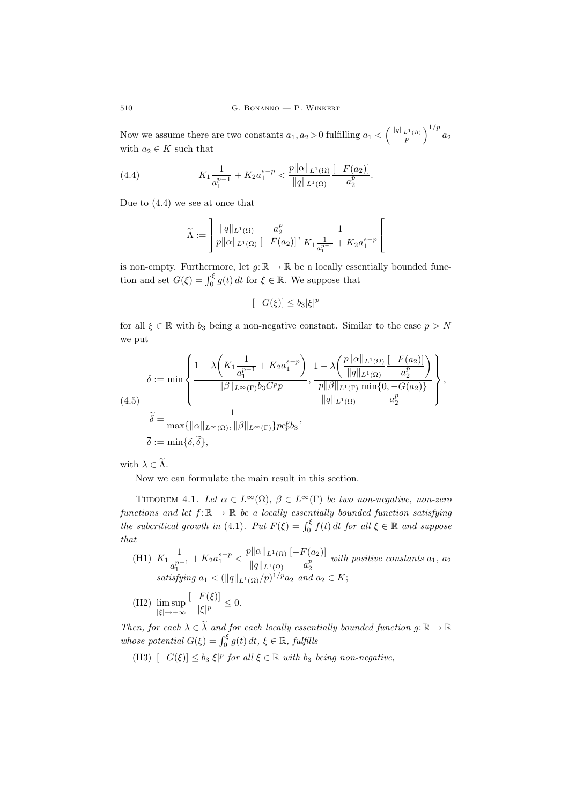510 G. BONANNO — P. WINKERT

Now we assume there are two constants  $a_1, a_2 > 0$  fulfilling  $a_1 < \left(\frac{\|q\|_{L^1(\Omega)}}{p}\right)^{1/p} a_2$ with  $a_2 \in K$  such that

(4.4) 
$$
K_1 \frac{1}{a_1^{p-1}} + K_2 a_1^{s-p} < \frac{p ||\alpha||_{L^1(\Omega)}}{||q||_{L^1(\Omega)}} \frac{[-F(a_2)]}{a_2^p}.
$$

Due to (4.4) we see at once that

$$
\widetilde{\Lambda} := \left] \frac{\|q\|_{L^1(\Omega)}}{p \| \alpha \|_{L^1(\Omega)}} \frac{a_2^p}{[-F(a_2)]}, \frac{1}{K_1 \frac{1}{a_1^{p-1}} + K_2 a_1^{s-p}} \right[
$$

is non-empty. Furthermore, let  $g: \mathbb{R} \to \mathbb{R}$  be a locally essentially bounded function and set  $G(\xi) = \int_0^{\xi} g(t) dt$  for  $\xi \in \mathbb{R}$ . We suppose that

$$
[-G(\xi)] \le b_3 |\xi|^p
$$

for all  $\xi \in \mathbb{R}$  with  $b_3$  being a non-negative constant. Similar to the case  $p > N$ we put

$$
\delta := \min \left\{ \frac{1 - \lambda \left( K_1 \frac{1}{a_1^{p-1}} + K_2 a_1^{s-p} \right)}{\|\beta\|_{L^\infty(\Gamma)} b_3 C^p p}, \frac{1 - \lambda \left( \frac{p ||\alpha||_{L^1(\Omega)}}{||q||_{L^1(\Omega)}} \frac{[-F(a_2)]}{a_2^p} \right)}{\frac{p ||\beta||_{L^1(\Gamma)}}{||q||_{L^1(\Gamma)}} \frac{\min\{0, -G(a_2)\}}{a_2^p} \right\},\,
$$
\n
$$
\tilde{\delta} = \frac{1}{\max\{ ||\alpha||_{L^\infty(\Omega)}, ||\beta||_{L^\infty(\Gamma)} \} p c_p^p b_3},
$$
\n
$$
\bar{\delta} := \min\{\delta, \tilde{\delta}\},
$$

with  $\lambda \in \widetilde{\Lambda}$ .

Now we can formulate the main result in this section.

THEOREM 4.1. Let  $\alpha \in L^{\infty}(\Omega)$ ,  $\beta \in L^{\infty}(\Gamma)$  be two non-negative, non-zero functions and let  $f: \mathbb{R} \to \mathbb{R}$  be a locally essentially bounded function satisfying the subcritical growth in (4.1). Put  $F(\xi) = \int_0^{\xi} f(t) dt$  for all  $\xi \in \mathbb{R}$  and suppose that

- (H1)  $K_1 \frac{1}{n}$  $a_1^{p-1}$  $+ K_2 a_1^{s-p} < \frac{p ||\alpha||_{L^1(\Omega)}}{||\alpha||_{L^1(\Omega)}}$  $||q||_{L^1(\Omega)}$  $[-F(a_2)]$  $\frac{a_2^{(0)}(a_2)}{a_2^p}$  with positive constants  $a_1, a_2$ satisfying  $a_1 < (||q||_{L^1(\Omega)}/p)^{1/p} a_2$  and  $a_2 \in K$ ;
- (H2) lim sup  $|\xi| \rightarrow +\infty$  $[-F(\xi)]$  $\frac{1}{|\xi|^p} \leq 0.$

Then, for each  $\lambda \in \widetilde{\lambda}$  and for each locally essentially bounded function  $g: \mathbb{R} \to \mathbb{R}$ whose potential  $G(\xi) = \int_0^{\xi} g(t) dt$ ,  $\xi \in \mathbb{R}$ , fulfills

(H3)  $[-G(\xi)] \leq b_3 |\xi|^p$  for all  $\xi \in \mathbb{R}$  with  $b_3$  being non-negative,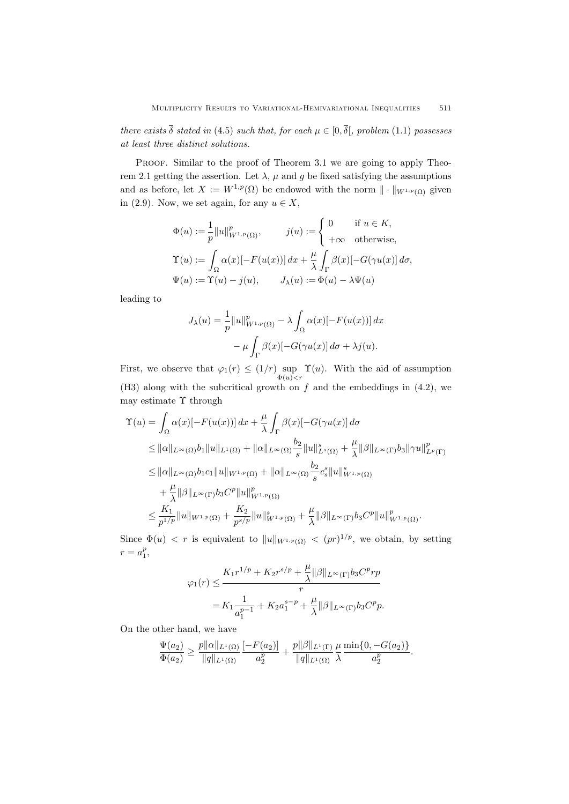there exists  $\overline{\delta}$  stated in (4.5) such that, for each  $\mu \in [0, \overline{\delta}]$ , problem (1.1) possesses at least three distinct solutions.

PROOF. Similar to the proof of Theorem 3.1 we are going to apply Theorem 2.1 getting the assertion. Let  $\lambda$ ,  $\mu$  and q be fixed satisfying the assumptions and as before, let  $X := W^{1,p}(\Omega)$  be endowed with the norm  $\|\cdot\|_{W^{1,p}(\Omega)}$  given in (2.9). Now, we set again, for any  $u \in X$ ,

$$
\Phi(u) := \frac{1}{p} ||u||_{W^{1,p}(\Omega)}^p, \qquad j(u) := \begin{cases} 0 & \text{if } u \in K, \\ +\infty & \text{otherwise,} \end{cases}
$$

$$
\Upsilon(u) := \int_{\Omega} \alpha(x) [-F(u(x))] \, dx + \frac{\mu}{\lambda} \int_{\Gamma} \beta(x) [-G(\gamma u(x)] \, d\sigma,
$$

$$
\Psi(u) := \Upsilon(u) - j(u), \qquad J_{\lambda}(u) := \Phi(u) - \lambda \Psi(u)
$$

leading to

$$
J_{\lambda}(u) = \frac{1}{p} ||u||_{W^{1,p}(\Omega)}^p - \lambda \int_{\Omega} \alpha(x) [-F(u(x))] dx
$$

$$
- \mu \int_{\Gamma} \beta(x) [-G(\gamma u(x)] d\sigma + \lambda j(u).
$$

First, we observe that  $\varphi_1(r) \leq (1/r) \sup_{\Phi(u) < r}$  $\Upsilon(u)$ . With the aid of assumption  $(H3)$  along with the subcritical growth on f and the embeddings in  $(4.2)$ , we may estimate  $\Upsilon$  through

$$
\begin{split} \Upsilon(u) &= \int_{\Omega} \alpha(x) [-F(u(x))] \, dx + \frac{\mu}{\lambda} \int_{\Gamma} \beta(x) [-G(\gamma u(x)] \, d\sigma \\ &\leq ||\alpha||_{L^{\infty}(\Omega)} b_1 ||u||_{L^1(\Omega)} + ||\alpha||_{L^{\infty}(\Omega)} \frac{b_2}{s} ||u||_{L^s(\Omega)}^s + \frac{\mu}{\lambda} ||\beta||_{L^{\infty}(\Gamma)} b_3 ||\gamma u||_{L^p(\Gamma)}^p \\ &\leq ||\alpha||_{L^{\infty}(\Omega)} b_1 c_1 ||u||_{W^{1,p}(\Omega)} + ||\alpha||_{L^{\infty}(\Omega)} \frac{b_2}{s} c_s^s ||u||_{W^{1,p}(\Omega)}^s \\ &\quad + \frac{\mu}{\lambda} ||\beta||_{L^{\infty}(\Gamma)} b_3 C^p ||u||_{W^{1,p}(\Omega)}^p \\ &\leq \frac{K_1}{p^{1/p}} ||u||_{W^{1,p}(\Omega)} + \frac{K_2}{p^{s/p}} ||u||_{W^{1,p}(\Omega)}^s + \frac{\mu}{\lambda} ||\beta||_{L^{\infty}(\Gamma)} b_3 C^p ||u||_{W^{1,p}(\Omega)}^p. \end{split}
$$

Since  $\Phi(u) < r$  is equivalent to  $||u||_{W^{1,p}(\Omega)} < (pr)^{1/p}$ , we obtain, by setting  $r = a_1^p$ 

$$
\varphi_1(r) \le \frac{K_1 r^{1/p} + K_2 r^{s/p} + \frac{\mu}{\lambda} ||\beta||_{L^\infty(\Gamma)} b_3 C^p r p}{r}
$$
  
=  $K_1 \frac{1}{a_1^{p-1}} + K_2 a_1^{s-p} + \frac{\mu}{\lambda} ||\beta||_{L^\infty(\Gamma)} b_3 C^p p.$ 

On the other hand, we have

$$
\frac{\Psi(a_2)}{\Phi(a_2)} \ge \frac{p||\alpha||_{L^1(\Omega)}}{||q||_{L^1(\Omega)}} \frac{[-F(a_2)]}{a_2^p} + \frac{p||\beta||_{L^1(\Gamma)}}{||q||_{L^1(\Omega)}} \frac{\mu}{\lambda} \frac{\min\{0, -G(a_2)\}}{a_2^p}.
$$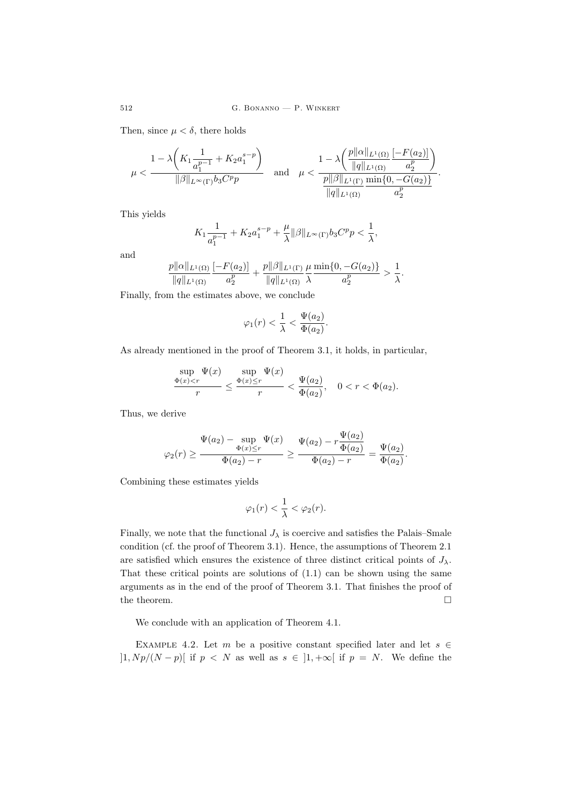Then, since  $\mu < \delta$ , there holds

$$
\mu < \frac{1 - \lambda \left( K_1 \frac{1}{a_1^{p-1}} + K_2 a_1^{s-p} \right)}{\|\beta\|_{L^{\infty}(\Gamma)} b_3 C^p p} \quad \text{and} \quad \mu < \frac{1 - \lambda \left( \frac{p ||\alpha||_{L^1(\Omega)}}{||q||_{L^1(\Omega)}} \frac{[-F(a_2)]}{a_2^p} \right)}{\frac{p ||\beta||_{L^1(\Gamma)}}{||q||_{L^1(\Omega)}} \frac{\min\{0, -G(a_2)\}}{a_2^p}}.
$$

This yields

$$
K_1 \frac{1}{a_1^{p-1}} + K_2 a_1^{s-p} + \frac{\mu}{\lambda} ||\beta||_{L^{\infty}(\Gamma)} b_3 C^p p < \frac{1}{\lambda},
$$

and

$$
\frac{p||\alpha||_{L^1(\Omega)}}{||q||_{L^1(\Omega)}} \frac{[-F(a_2)]}{a_2^p} + \frac{p||\beta||_{L^1(\Gamma)}}{||q||_{L^1(\Omega)}} \frac{\mu \min\{0, -G(a_2)\}}{\lambda} > \frac{1}{\lambda}.
$$

Finally, from the estimates above, we conclude

$$
\varphi_1(r) < \frac{1}{\lambda} < \frac{\Psi(a_2)}{\Phi(a_2)}.
$$

As already mentioned in the proof of Theorem 3.1, it holds, in particular,

$$
\frac{\sup_{\Phi(x) < r} \Psi(x)}{r} \le \frac{\sup_{\Phi(x) \le r} \Psi(x)}{r} < \frac{\Psi(a_2)}{\Phi(a_2)}, \quad 0 < r < \Phi(a_2).
$$

Thus, we derive

$$
\varphi_2(r) \ge \frac{\Psi(a_2) - \sup_{\Phi(x) \le r} \Psi(x)}{\Phi(a_2) - r} \ge \frac{\Psi(a_2) - r \frac{\Psi(a_2)}{\Phi(a_2)}}{\Phi(a_2) - r} = \frac{\Psi(a_2)}{\Phi(a_2)}.
$$

Combining these estimates yields

$$
\varphi_1(r) < \frac{1}{\lambda} < \varphi_2(r).
$$

Finally, we note that the functional  $J_{\lambda}$  is coercive and satisfies the Palais–Smale condition (cf. the proof of Theorem 3.1). Hence, the assumptions of Theorem 2.1 are satisfied which ensures the existence of three distinct critical points of  $J_{\lambda}$ . That these critical points are solutions of  $(1.1)$  can be shown using the same arguments as in the end of the proof of Theorem 3.1. That finishes the proof of the theorem.  $\hfill \square$ 

We conclude with an application of Theorem 4.1.

EXAMPLE 4.2. Let m be a positive constant specified later and let  $s \in \mathbb{R}$  $]1, Np/(N-p)[$  if  $p \leq N$  as well as  $s \in ]1, +\infty[$  if  $p = N$ . We define the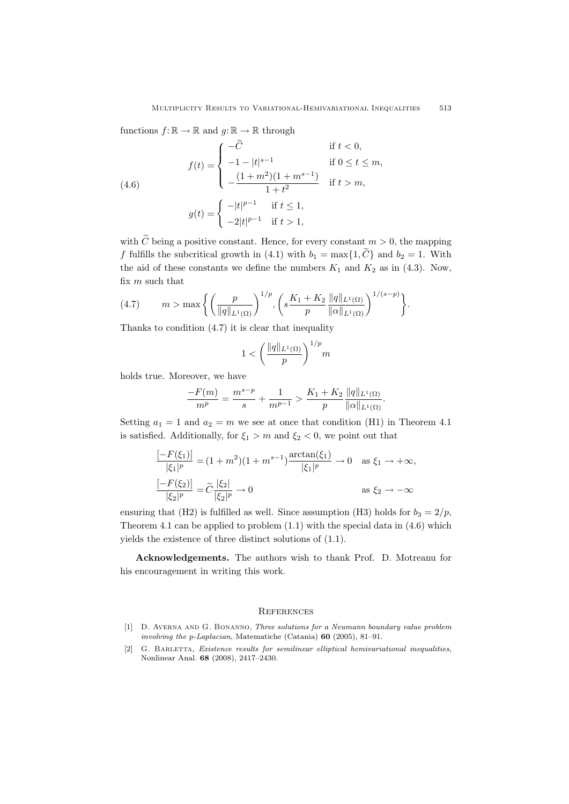functions  $f: \mathbb{R} \to \mathbb{R}$  and  $g: \mathbb{R} \to \mathbb{R}$  through

(4.6)  

$$
f(t) = \begin{cases} -\tilde{C} & \text{if } t < 0, \\ -1 - |t|^{s-1} & \text{if } 0 \le t \le m, \\ -\frac{(1+m^2)(1+m^{s-1})}{1+t^2} & \text{if } t > m, \end{cases}
$$

$$
g(t) = \begin{cases} -|t|^{p-1} & \text{if } t \le 1, \\ -2|t|^{p-1} & \text{if } t > 1, \end{cases}
$$

with  $\tilde{C}$  being a positive constant. Hence, for every constant  $m > 0$ , the mapping f fulfills the subcritical growth in (4.1) with  $b_1 = \max\{1, \tilde{C}\}\$  and  $b_2 = 1$ . With the aid of these constants we define the numbers  $K_1$  and  $K_2$  as in (4.3). Now, fix  $m$  such that

(4.7) 
$$
m > \max \left\{ \left( \frac{p}{\|q\|_{L^1(\Omega)}} \right)^{1/p}, \left( s \frac{K_1 + K_2}{p} \frac{\|q\|_{L^1(\Omega)}}{\|q\|_{L^1(\Omega)}} \right)^{1/(s-p)} \right\}.
$$

Thanks to condition  $(4.7)$  it is clear that inequality

$$
1 < \left(\frac{\|q\|_{L^1(\Omega)}}{p}\right)^{1/p}m
$$

holds true. Moreover, we have

$$
\frac{-F(m)}{m^p} = \frac{m^{s-p}}{s} + \frac{1}{m^{p-1}} > \frac{K_1 + K_2}{p} \frac{\|q\|_{L^1(\Omega)}}{\|\alpha\|_{L^1(\Omega)}}.
$$

Setting  $a_1 = 1$  and  $a_2 = m$  we see at once that condition (H1) in Theorem 4.1 is satisfied. Additionally, for  $\xi_1 > m$  and  $\xi_2 < 0$ , we point out that

$$
\frac{[-F(\xi_1)]}{|\xi_1|^p} = (1+m^2)(1+m^{s-1})\frac{\arctan(\xi_1)}{|\xi_1|^p} \to 0 \quad \text{as } \xi_1 \to +\infty,
$$
  

$$
\frac{[-F(\xi_2)]}{|\xi_2|^p} = \widetilde{C}\frac{|\xi_2|}{|\xi_2|^p} \to 0 \qquad \text{as } \xi_2 \to -\infty
$$

ensuring that (H2) is fulfilled as well. Since assumption (H3) holds for  $b_3 = 2/p$ , Theorem 4.1 can be applied to problem (1.1) with the special data in (4.6) which yields the existence of three distinct solutions of (1.1).

Acknowledgements. The authors wish to thank Prof. D. Motreanu for his encouragement in writing this work.

## **REFERENCES**

- [1] D. Averna and G. Bonanno, Three solutions for a Neumann boundary value problem involving the p-Laplacian, Matematiche (Catania) 60 (2005), 81–91.
- [2] G. BARLETTA, Existence results for semilinear elliptical hemivariational inequalities, Nonlinear Anal. 68 (2008), 2417–2430.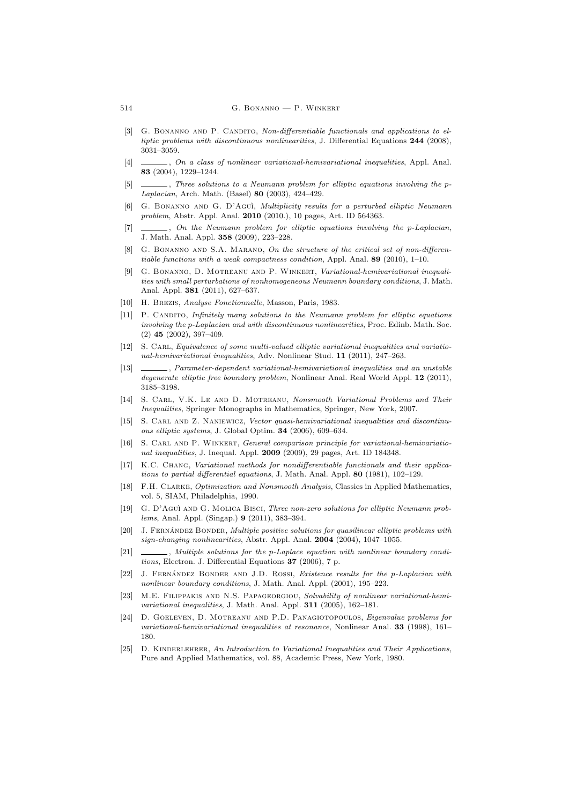#### 514 G. Bonanno — P. Winkert

- [3] G. BONANNO AND P. CANDITO, Non-differentiable functionals and applications to elliptic problems with discontinuous nonlinearities, J. Differential Equations 244 (2008), 3031–3059.
- [4]  $\Box$ , On a class of nonlinear variational-hemivariational inequalities, Appl. Anal. 83 (2004), 1229–1244.
- [5]  $\Box$ , Three solutions to a Neumann problem for elliptic equations involving the p-Laplacian, Arch. Math. (Basel) 80 (2003), 424–429.
- [6] G. Bonanno and G. D'Agu`ı, Multiplicity results for a perturbed elliptic Neumann problem, Abstr. Appl. Anal. 2010 (2010.), 10 pages, Art. ID 564363.
- [7]  $\_\_\_\_\_\$ , On the Neumann problem for elliptic equations involving the p-Laplacian, J. Math. Anal. Appl. 358 (2009), 223–228.
- [8] G. BONANNO AND S.A. MARANO, On the structure of the critical set of non-differentiable functions with a weak compactness condition, Appl. Anal. 89 (2010), 1–10.
- [9] G. Bonanno, D. Motreanu and P. Winkert, Variational-hemivariational inequalities with small perturbations of nonhomogeneous Neumann boundary conditions, J. Math. Anal. Appl. 381 (2011), 627–637.
- [10] H. Brezis, Analyse Fonctionnelle, Masson, Paris, 1983.
- [11] P. CANDITO, Infinitely many solutions to the Neumann problem for elliptic equations involving the p-Laplacian and with discontinuous nonlinearities, Proc. Edinb. Math. Soc. (2) 45 (2002), 397–409.
- [12] S. CARL, Equivalence of some multi-valued elliptic variational inequalities and variational-hemivariational inequalities, Adv. Nonlinear Stud. 11 (2011), 247–263.
- [13] , Parameter-dependent variational-hemivariational inequalities and an unstable degenerate elliptic free boundary problem, Nonlinear Anal. Real World Appl. 12 (2011), 3185–3198.
- [14] S. Carl, V.K. Le and D. Motreanu, Nonsmooth Variational Problems and Their Inequalities, Springer Monographs in Mathematics, Springer, New York, 2007.
- [15] S. CARL AND Z. NANIEWICZ, Vector quasi-hemivariational inequalities and discontinuous elliptic systems, J. Global Optim. 34 (2006), 609–634.
- [16] S. CARL AND P. WINKERT, General comparison principle for variational-hemivariational inequalities, J. Inequal. Appl. 2009 (2009), 29 pages, Art. ID 184348.
- [17] K.C. Chang, Variational methods for nondifferentiable functionals and their applications to partial differential equations, J. Math. Anal. Appl. 80 (1981), 102–129.
- [18] F.H. Clarke, Optimization and Nonsmooth Analysis, Classics in Applied Mathematics, vol. 5, SIAM, Philadelphia, 1990.
- [19] G. D'Agu`ı and G. Molica Bisci, Three non-zero solutions for elliptic Neumann problems, Anal. Appl. (Singap.) 9 (2011), 383–394.
- [20] J. FERNÁNDEZ BONDER, Multiple positive solutions for quasilinear elliptic problems with sign-changing nonlinearities, Abstr. Appl. Anal. 2004 (2004), 1047–1055.
- [21]  $\_\_\_\_\_\_\_\$  Multiple solutions for the p-Laplace equation with nonlinear boundary conditions, Electron. J. Differential Equations 37 (2006), 7 p.
- [22] J. FERNÁNDEZ BONDER AND J.D. ROSSI, *Existence results for the p-Laplacian with* nonlinear boundary conditions, J. Math. Anal. Appl. (2001), 195–223.
- [23] M.E. Filippakis and N.S. Papageorgiou, Solvability of nonlinear variational-hemivariational inequalities, J. Math. Anal. Appl. 311 (2005), 162–181.
- [24] D. Goeleven, D. Motreanu and P.D. Panagiotopoulos, Eigenvalue problems for variational-hemivariational inequalities at resonance, Nonlinear Anal. 33 (1998), 161– 180.
- [25] D. KINDERLEHRER, An Introduction to Variational Inequalities and Their Applications, Pure and Applied Mathematics, vol. 88, Academic Press, New York, 1980.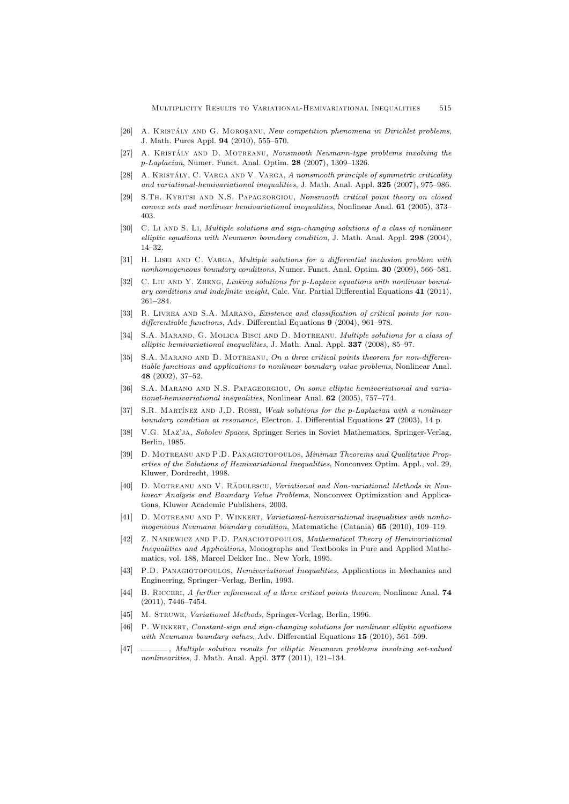- [26] A. KRISTÁLY AND G. MOROSANU, New competition phenomena in Dirichlet problems, J. Math. Pures Appl. 94 (2010), 555–570.
- [27] A. KRISTÁLY AND D. MOTREANU, Nonsmooth Neumann-type problems involving the p-Laplacian, Numer. Funct. Anal. Optim. 28 (2007), 1309–1326.
- [28] A. KRISTÁLY, C. VARGA AND V. VARGA, A nonsmooth principle of symmetric criticality and variational-hemivariational inequalities, J. Math. Anal. Appl. 325 (2007), 975–986.
- [29] S.Th. Kyritsi and N.S. Papageorgiou, Nonsmooth critical point theory on closed convex sets and nonlinear hemivariational inequalities, Nonlinear Anal. 61 (2005), 373– 403.
- [30] C. Li AND S. Li, Multiple solutions and sign-changing solutions of a class of nonlinear elliptic equations with Neumann boundary condition, J. Math. Anal. Appl. 298 (2004), 14–32.
- [31] H. LISEI AND C. VARGA, *Multiple solutions for a differential inclusion problem with* nonhomogeneous boundary conditions, Numer. Funct. Anal. Optim. 30 (2009), 566–581.
- [32] C. LIU AND Y. ZHENG, Linking solutions for p-Laplace equations with nonlinear boundary conditions and indefinite weight, Calc. Var. Partial Differential Equations 41 (2011), 261–284.
- [33] R. LIVREA AND S.A. MARANO, Existence and classification of critical points for nondifferentiable functions, Adv. Differential Equations 9 (2004), 961–978.
- [34] S.A. MARANO, G. MOLICA BISCI AND D. MOTREANU, *Multiple solutions for a class of* elliptic hemivariational inequalities, J. Math. Anal. Appl. 337 (2008), 85–97.
- [35] S.A. MARANO AND D. MOTREANU, On a three critical points theorem for non-differentiable functions and applications to nonlinear boundary value problems, Nonlinear Anal. 48 (2002), 37–52.
- [36] S.A. MARANO AND N.S. PAPAGEORGIOU, On some elliptic hemivariational and variational-hemivariational inequalities, Nonlinear Anal. 62 (2005), 757–774.
- [37] S.R. MARTÍNEZ AND J.D. ROSSI, Weak solutions for the p-Laplacian with a nonlinear boundary condition at resonance, Electron. J. Differential Equations 27 (2003), 14 p.
- [38] V.G. Maz'ja, Sobolev Spaces, Springer Series in Soviet Mathematics, Springer-Verlag, Berlin, 1985.
- [39] D. Motreanu and P.D. Panagiotopoulos, Minimax Theorems and Qualitative Properties of the Solutions of Hemivariational Inequalities, Nonconvex Optim. Appl., vol. 29, Kluwer, Dordrecht, 1998.
- [40] D. MOTREANU AND V. RADULESCU, Variational and Non-variational Methods in Nonlinear Analysis and Boundary Value Problems, Nonconvex Optimization and Applications, Kluwer Academic Publishers, 2003.
- [41] D. MOTREANU AND P. WINKERT, Variational-hemivariational inequalities with nonhomogeneous Neumann boundary condition, Matematiche (Catania) 65 (2010), 109–119.
- [42] Z. Naniewicz and P.D. Panagiotopoulos, Mathematical Theory of Hemivariational Inequalities and Applications, Monographs and Textbooks in Pure and Applied Mathematics, vol. 188, Marcel Dekker Inc., New York, 1995.
- [43] P.D. Panagiotopoulos, Hemivariational Inequalities, Applications in Mechanics and Engineering, Springer–Verlag, Berlin, 1993.
- [44] B. RICCERI, A further refinement of a three critical points theorem, Nonlinear Anal. 74 (2011), 7446–7454.
- [45] M. STRUWE, Variational Methods, Springer-Verlag, Berlin, 1996.
- [46] P. WINKERT, Constant-sign and sign-changing solutions for nonlinear elliptic equations with Neumann boundary values, Adv. Differential Equations 15 (2010), 561–599.
- [47] , Multiple solution results for elliptic Neumann problems involving set-valued nonlinearities, J. Math. Anal. Appl. **377** (2011), 121-134.